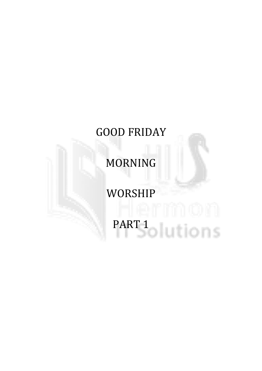### GOOD FRIDAY

MORNING

### WORSHIP PART 1<br>DILIONS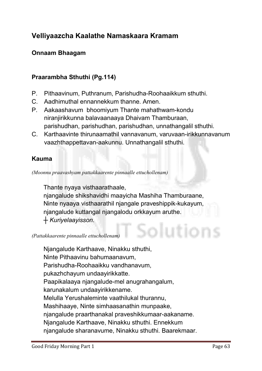#### Velliyaazcha Kaalathe Namaskaara Kramam

#### Onnaam Bhaagam

#### Praarambha Sthuthi (Pg.114)

- **P. Pithaavinum, Puthranum, Parishudha-Roohaaikkum sthuthi.**
- **C. Aadhimuthal ennannekkum thanne. Amen.**
- **P. Aakaashavum bhoomiyum Thante mahathwam-kondu niranjirikkunna balavaanaaya Dhaivam Thamburaan, parishudhan, parishudhan, parishudhan, unnathangalil sthuthi.**
- **C. Karthaavinte thirunaamathil vannavanum, varuvaan-irikkunnavanum vaazhthappettavan-aakunnu. Unnathangalil sthuthi.**

#### Kauma

*(Moonnu praavashyam pattakkaarente pinnaalle ettuchollenam)*

**Thante nyaya visthaarathaale, njangalude shikshavidhi maayicha Mashiha Thamburaane, Ninte nyaaya visthaarathil njangale praveshippik-kukayum, njangalude kuttangal njangalodu orkkayum aruthe.**  *┼ Kuriyelaayisson.*

Solution

*(Pattakkaarente pinnaalle ettuchollenam)*

**Njangalude Karthaave, Ninakku sthuthi, Ninte Pithaavinu bahumaanavum, Parishudha-Roohaaikku vandhanavum, pukazhchayum undaayirikkatte. Paapikalaaya njangalude-mel anugrahangalum, karunakalum undaayirikkename. Melulla Yerushaleminte vaathilukal thurannu, Mashihaaye, Ninte simhaasanathin munpaake, njangalude praarthanakal praveshikkumaar-aakaname. Njangalude Karthaave, Ninakku sthuthi. Ennekkum njangalude sharanavume, Ninakku sthuthi. Baarekmaar.**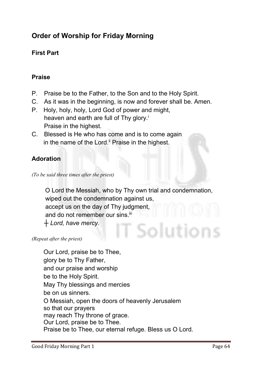#### Order of Worship for Friday Morning

#### First Part

#### Praise

- **P. Praise be to the Father, to the Son and to the Holy Spirit.**
- **C. As it was in the beginning, is now and forever shall be. Amen.**
- **P. Holy, holy, holy, Lord God of power and might, heaven and earth are full of Thy glory.i Praise in the highest.**
- **C. Blessed is He who has come and is to come again**  in the name of the Lord.<sup>"</sup> Praise in the highest.

#### Adoration

 **O Lord the Messiah, who by Thy own trial and condemnation, wiped out the condemnation against us, accept us on the day of Thy judgment,** and do not remember our sins.<sup>iii</sup> *┼ Lord, have mercy.* Solution

*(Repeat after the priest)*

**Our Lord, praise be to Thee, glory be to Thy Father, and our praise and worship be to the Holy Spirit. May Thy blessings and mercies be on us sinners. O Messiah, open the doors of heavenly Jerusalem so that our prayers may reach Thy throne of grace. Our Lord, praise be to Thee. Praise be to Thee, our eternal refuge. Bless us O Lord.** 

*<sup>(</sup>To be said three times after the priest)*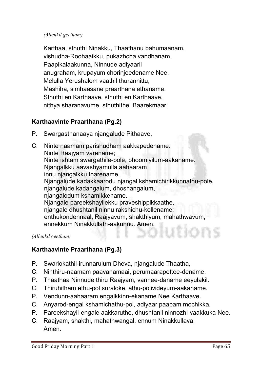#### *(Allenkil geetham)*

**Karthaa, sthuthi Ninakku, Thaathanu bahumaanam, vishudha-Roohaaikku, pukazhcha vandhanam. Paapikalaakunna, Ninnude adiyaaril anugraham, krupayum chorinjeedename Nee. Melulla Yerushalem vaathil thurannittu, Mashiha, simhaasane praarthana ethaname. Sthuthi en Karthaave, sthuthi en Karthaave. nithya sharanavume, sthuthithe. Baarekmaar.**

#### Karthaavinte Praarthana (Pg.2)

- **P. Swargasthanaaya njangalude Pithaave,**
- **C. Ninte naamam parishudham aakkapedename. Ninte Raajyam varename; Ninte ishtam swargathile-pole, bhoomiyilum-aakaname. Njangalkku aavashyamulla aahaaram innu njangalkku tharename. Njangalude kadakkaarodu njangal kshamichirikkunnathu-pole, njangalude kadangalum, dhoshangalum, njangalodum kshamikkename. Njangale pareekshayilekku praveshippikkaathe, njangale dhushtanil ninnu rakshichu-kollename; enthukondennaal, Raajyavum, shakthiyum, mahathwavum, ennekkum Ninakkullath-aakunnu. Amen.**

#### *(Allenkil geetham)*

#### Karthaavinte Praarthana (Pg.3)

- **P. Swarlokathil-irunnarulum Dheva, njangalude Thaatha,**
- **C. Ninthiru-naamam paavanamaai, perumaarapettee-dename.**
- **P. Thaathaa Ninnude thiru Raajyam, vannee-daname eeyulakil.**
- **C. Thiruhitham ethu-pol suraloke, athu-polivideyum-aakaname.**
- **P. Vendunn-aahaaram engalkkinn-ekaname Nee Karthaave.**
- **C. Anyarod-engal kshamichathu-pol, adiyaar paapam mochikka.**
- **P. Pareekshayil-engale aakkaruthe, dhushtanil ninnozhi-vaakkuka Nee.**
- **C. Raajyam, shakthi, mahathwangal, ennum Ninakkullava. Amen.**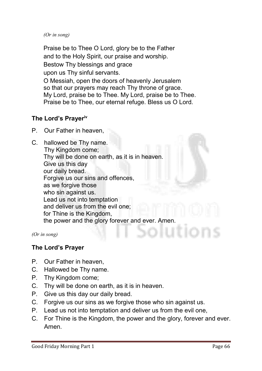*(Or in song)* 

**Praise be to Thee O Lord, glory be to the Father and to the Holy Spirit, our praise and worship. Bestow Thy blessings and grace upon us Thy sinful servants. O Messiah, open the doors of heavenly Jerusalem so that our prayers may reach Thy throne of grace. My Lord, praise be to Thee. My Lord, praise be to Thee. Praise be to Thee, our eternal refuge. Bless us O Lord.**

#### The Lord's Prayeriv

- **P. Our Father in heaven,**
- **C. hallowed be Thy name. Thy Kingdom come; Thy will be done on earth, as it is in heaven. Give us this day our daily bread. Forgive us our sins and offences, as we forgive those who sin against us. Lead us not into temptation and deliver us from the evil one; for Thine is the Kingdom, the power and the glory forever and ever. Amen.**

*(Or in song)*

#### The Lord's Prayer

- **P. Our Father in heaven,**
- **C. Hallowed be Thy name.**
- **P. Thy Kingdom come;**
- **C. Thy will be done on earth, as it is in heaven.**
- **P. Give us this day our daily bread.**
- **C. Forgive us our sins as we forgive those who sin against us.**
- **P. Lead us not into temptation and deliver us from the evil one,**
- **C. For Thine is the Kingdom, the power and the glory, forever and ever. Amen.**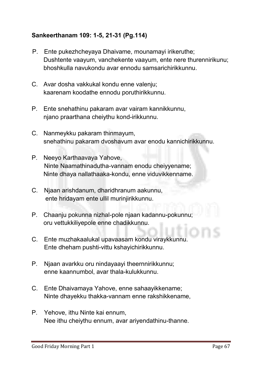#### Sankeerthanam 109: 1-5, 21-31 (Pg.114)

- **P. Ente pukezhcheyaya Dhaivame, mounamayi irikeruthe; Dushtente vaayum, vanchekente vaayum, ente nere thurennirikunu; bhoshkulla navukondu avar ennodu samsarichirikkunnu.**
- **C. Avar dosha vakkukal kondu enne valenju; kaarenam koodathe ennodu poruthirikkunnu.**
- **P. Ente snehathinu pakaram avar vairam kannikkunnu, njano praarthana cheiythu kond-irikkunnu.**
- **C. Nanmeykku pakaram thinmayum, snehathinu pakaram dvoshavum avar enodu kannichirikkunnu.**
- **P. Neeyo Karthaavaya Yahove, Ninte Naamathinadutha-vannam enodu cheiyyename; Ninte dhaya nallathaaka-kondu, enne viduvikkenname.**
- **C. Njaan arishdanum, dharidhranum aakunnu, ente hridayam ente ullil murinjirikkunnu.**
- **P. Chaanju pokunna nizhal-pole njaan kadannu-pokunnu; oru vettukkiliyepole enne chadikkunnu.**
- **C. Ente muzhakaalukal upavaasam kondu viraykkunnu. Ente dheham pushti-vittu kshayichirikkunnu.**
- **P. Njaan avarkku oru nindayaayi theernnirikkunnu; enne kaannumbol, avar thala-kulukkunnu.**
- **C. Ente Dhaivamaya Yahove, enne sahaayikkename; Ninte dhayekku thakka-vannam enne rakshikkename,**
- **P. Yehove, ithu Ninte kai ennum, Nee ithu cheiythu ennum, avar ariyendathinu-thanne.**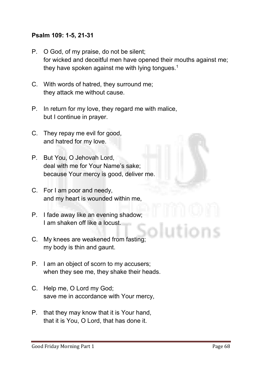#### Psalm 109: 1-5, 21-31

- **P. O God, of my praise, do not be silent; for wicked and deceitful men have opened their mouths against me; they have spoken against me with lying tongues.1**
- **C. With words of hatred, they surround me; they attack me without cause.**
- **P. In return for my love, they regard me with malice, but I continue in prayer.**
- **C. They repay me evil for good, and hatred for my love.**
- **P. But You, O Jehovah Lord, deal with me for Your Name's sake; because Your mercy is good, deliver me.**
- **C. For I am poor and needy, and my heart is wounded within me,**
- **P. I fade away like an evening shadow; I am shaken off like a locust.**
- **C. My knees are weakened from fasting; my body is thin and gaunt.**
- **P. I am an object of scorn to my accusers; when they see me, they shake their heads.**
- **C. Help me, O Lord my God; save me in accordance with Your mercy,**
- **P. that they may know that it is Your hand, that it is You, O Lord, that has done it.**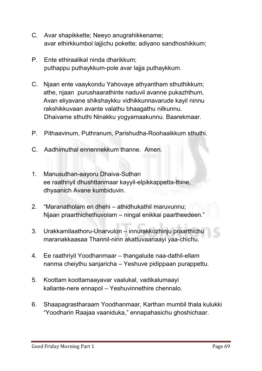- **C. Avar shapikkette; Neeyo anugrahikkename; avar ethirkkumbol lajjichu pokette; adiyano sandhoshikkum;**
- **P. Ente ethiraalikal ninda dharikkum; puthappu puthaykkum-pole avar lajja puthaykkum.**
- **C. Njaan ente vaaykondu Yahovaye athyantham sthuthikkum; athe, njaan purushaarathinte naduvil avanne pukazhthum, Avan eliyavane shikshaykku vidhikkunnavarude kayil ninnu rakshikkuvaan avante valathu bhaagathu nilkunnu. Dhaivame sthuthi Ninakku yogyamaakunnu. Baarekmaar.**
- **P. Pithaavinum, Puthranum, Parishudha-Roohaaikkum sthuthi.**
- **C. Aadhimuthal ennennekkum thanne. Amen.**
- **1. Manusuthan-aayoru Dhaiva-Suthan ee raathriyil dhushttanmaar kayyil-elpikkappetta-thine, dhyaanich Avane kumbiduvin.**
- **2. "Maranatholam en dhehi – athidhukathil maruvunnu; Njaan praarthichethuvolam – ningal enikkai paartheedeen."**
- **3. Urakkamilaathoru-Unarvulon – innurakkozhinju praarthichu maranakkaasaa Thannil-ninn akattuvaanaayi yaa-chichu.**
- **4. Ee raathriyil Yoodhanmaar – thangalude naa-dathil-ellam nanma cheiythu sanjaricha – Yeshuve pidippaan purappettu.**
- **5. Koottam koottamaayavar vaalukal, vadikalumaayi kallante-nere ennapol – Yeshuvinnethire chennalo.**
- **6. Shaapagrastharaam Yoodhanmaar, Karthan mumbil thala kulukki "Yoodharin Raajaa vaaniduka," ennapahasichu ghoshichaar.**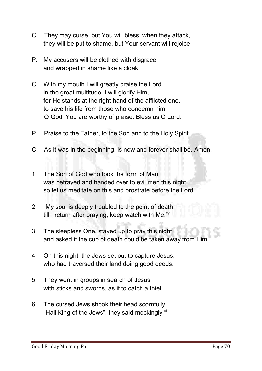- **C. They may curse, but You will bless; when they attack, they will be put to shame, but Your servant will rejoice.**
- **P. My accusers will be clothed with disgrace and wrapped in shame like a cloak.**
- **C. With my mouth I will greatly praise the Lord; in the great multitude, I will glorify Him, for He stands at the right hand of the afflicted one, to save his life from those who condemn him. O God, You are worthy of praise. Bless us O Lord.**
- **P. Praise to the Father, to the Son and to the Holy Spirit.**
- **C. As it was in the beginning, is now and forever shall be. Amen.**
- **1. The Son of God who took the form of Man was betrayed and handed over to evil men this night, so let us meditate on this and prostrate before the Lord.**
- **2. "My soul is deeply troubled to the point of death; till I return after praying, keep watch with Me."v**
- **3. The sleepless One, stayed up to pray this night and asked if the cup of death could be taken away from Him.**
- **4. On this night, the Jews set out to capture Jesus, who had traversed their land doing good deeds.**
- **5. They went in groups in search of Jesus with sticks and swords, as if to catch a thief.**
- **6. The cursed Jews shook their head scornfully, "Hail King of the Jews", they said mockingly. vi**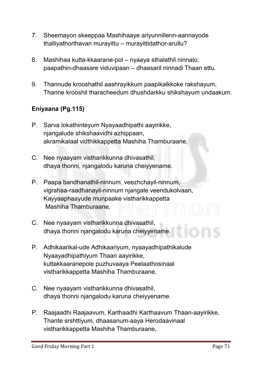- **7. Sheemayon skeeppaa Mashihaaye ariyunnillenn-aannayode thalliyathorthavan murayittu – murayittidathor-arullu?**
- **8. Mashihaa kutta-kkaarane-pol – nyaaya sthalathil ninnalo; paapathin-dhaasare viduvipaan – dhaasaril ninnadi Thaan ettu.**
- **9. Thannude krooshathil aashrayikkum paapikalkkoke rakshayum, Thanne krooshil tharacheedum dhushdarkku shikshayum undaakum.**

#### Eniyaana (Pg.115)

- **P. Sarva lokathinteyum Nyayaadhipathi aayirikke, njangalude shikshaavidhi azhippaan, akramikalaal vidthikkappetta Mashiha Thamburaane,**
- **C. Nee nyaayam vistharikkunna dhivasathil, dhaya thonni, njangalodu karuna cheiyyename.**
- **P. Paapa bandhanathil-ninnum, veezhchayil-ninnum, vigrahaa-raadhanayil-ninnum njangale veendukolvaan, Kayyaaphaayude munpaake vistharikkappetta Mashiha Thamburaane,**
- **C. Nee nyaayam vistharikkunna dhivasathil, dhaya thonni njangalodu karuna cheiyyename.**
- **P. Adhikaarikal-ude Adhikaariyum, nyaayadhipathikalude Nyaayadhipathiyum Thaan aayirikke, kuttakkaaranepole puzhuvaaya Peelaathosinaal vistharikkappetta Mashiha Thamburaane,**
- **C. Nee nyaayam vistharikkunna dhivasathil, dhaya thonni njangalodu karuna cheiyyename.**
- **P. Raajaadhi Raajaavum, Karthaadhi Karthaavum Thaan-aayirikke, Thante srshttiyum, dhaasanum-aaya Herodaavinaal vistharikkappetta Mashiha Thamburaane,**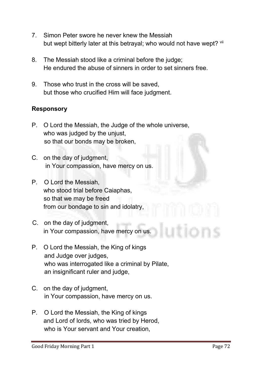- **7. Simon Peter swore he never knew the Messiah**  but wept bitterly later at this betrayal; who would not have wept? vii
- **8. The Messiah stood like a criminal before the judge; He endured the abuse of sinners in order to set sinners free.**
- **9. Those who trust in the cross will be saved, but those who crucified Him will face judgment.**

#### Responsory

- **P. O Lord the Messiah, the Judge of the whole universe, who was judged by the unjust, so that our bonds may be broken,**
- **C. on the day of judgment, in Your compassion, have mercy on us.**
- **P. O Lord the Messiah, who stood trial before Caiaphas, so that we may be freed from our bondage to sin and idolatry,**
- **C. on the day of judgment, in Your compassion, have mercy on us.**
- **P. O Lord the Messiah, the King of kings and Judge over judges, who was interrogated like a criminal by Pilate, an insignificant ruler and judge,**
- **C. on the day of judgment, in Your compassion, have mercy on us.**
- **P. O Lord the Messiah, the King of kings and Lord of lords, who was tried by Herod, who is Your servant and Your creation,**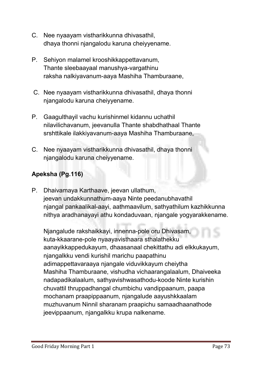- **C. Nee nyaayam vistharikkunna dhivasathil, dhaya thonni njangalodu karuna cheiyyename.**
- **P. Sehiyon malamel krooshikkappettavanum, Thante sleebaayaal manushya-vargathinu raksha nalkiyavanum-aaya Mashiha Thamburaane,**
- **C. Nee nyaayam vistharikkunna dhivasathil, dhaya thonni njangalodu karuna cheiyyename.**
- **P. Gaagulthayil vachu kurishinmel kidannu uchathil nilavilichavanum, jeevanulla Thante shabdhathaal Thante srshttikale ilakkiyavanum-aaya Mashiha Thamburaane,**
- **C. Nee nyaayam vistharikkunna dhivasathil, dhaya thonni njangalodu karuna cheiyyename.**

#### Apeksha (Pg.116)

**P. Dhaivamaya Karthaave, jeevan ullathum, jeevan undakkunnathum-aaya Ninte peedanubhavathil njangal pankaalikal-aayi, aathmaavilum, sathyathilum kazhikkunna nithya aradhanayayi athu kondaduvaan, njangale yogyarakkename.** 

**Njangalude rakshaikkayi, innenna-pole oru Dhivasam, kuta-kkaarane-pole nyaayavisthaara sthalathekku aanayikkappedukayum, dhaasanaal chekittathu adi elkkukayum, njangalkku vendi kurishil marichu paapathinu adimappettavaraaya njangale viduvikkayum cheiytha Mashiha Thamburaane, vishudha vichaarangalaalum, Dhaiveeka nadapadikalaalum, sathyavishwasathodu-koode Ninte kurishin chuvattil thruppadhangal chumbichu vandippaanum, paapa mochanam praapippaanum, njangalude aayushkkaalam muzhuvanum Ninnil sharanam praapichu samaadhaanathode jeevippaanum, njangalkku krupa nalkename.**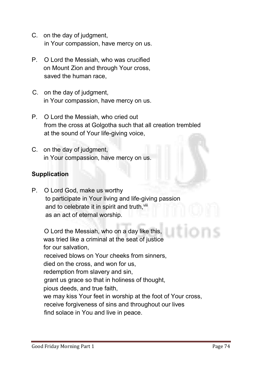- **C. on the day of judgment, in Your compassion, have mercy on us.**
- **P. O Lord the Messiah, who was crucified on Mount Zion and through Your cross, saved the human race,**
- **C. on the day of judgment, in Your compassion, have mercy on us.**
- **P. O Lord the Messiah, who cried out from the cross at Golgotha such that all creation trembled at the sound of Your life-giving voice,**
- **C. on the day of judgment, in Your compassion, have mercy on us.**

#### **Supplication**

**P. O Lord God, make us worthy to participate in Your living and life-giving passion** and to celebrate it in spirit and truth, vill  **as an act of eternal worship.**

**O Lord the Messiah, who on a day like this, was tried like a criminal at the seat of justice for our salvation, received blows on Your cheeks from sinners, died on the cross, and won for us, redemption from slavery and sin, grant us grace so that in holiness of thought, pious deeds, and true faith, we may kiss Your feet in worship at the foot of Your cross, receive forgiveness of sins and throughout our lives find solace in You and live in peace.**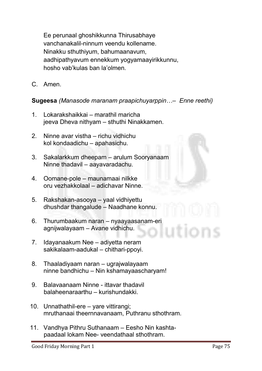**Ee perunaal ghoshikkunna Thirusabhaye vanchanakalil-ninnum veendu kollename. Ninakku sthuthiyum, bahumaanavum, aadhipathyavum ennekkum yogyamaayirikkunnu, hosho vab'kulas ban la'olmen.** 

**C. Amen.** 

#### Sugeesa *(Manasode maranam praapichuyarppin…– Enne reethi)*

- **1. Lokarakshaikkai – marathil maricha jeeva Dheva nithyam – sthuthi Ninakkamen.**
- **2. Ninne avar vistha – richu vidhichu kol kondaadichu – apahasichu.**
- **3. Sakalarkkum dheepam – arulum Sooryanaam Ninne thadavil – aayavaradachu.**
- **4. Oomane-pole – maunamaai nilkke oru vezhakkolaal – adichavar Ninne.**
- **5. Rakshakan-asooya – yaal vidhiyettu dhushdar thangalude – Naadhane konnu.**
- **6. Thurumbaakum naran – nyaayaasanam-eri agnijwalayaam – Avane vidhichu.**
- **7. Idayanaakum Nee – adiyetta neram sakikalaam-aadukal – chithari-ppoyi.**
- **8. Thaaladiyaam naran – ugrajwalayaam ninne bandhichu – Nin kshamayaascharyam!**
- **9. Balavaanaam Ninne - ittavar thadavil balaheenaraarthu – kurishundakki.**
- **10. Unnathathil-ere – yare vittirangi; mruthanaai theernnavanaam, Puthranu sthothram.**
- **11. Vandhya Pithru Suthanaam – Eesho Nin kashta paadaal lokam Nee- veendathaal sthothram.**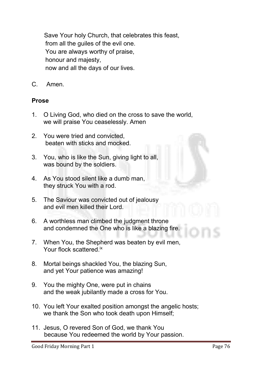**Save Your holy Church, that celebrates this feast, from all the guiles of the evil one. You are always worthy of praise, honour and majesty, now and all the days of our lives.**

**C. Amen.**

#### Prose

- **1. O Living God, who died on the cross to save the world, we will praise You ceaselessly. Amen**
- **2. You were tried and convicted, beaten with sticks and mocked.**
- **3. You, who is like the Sun, giving light to all, was bound by the soldiers.**
- **4. As You stood silent like a dumb man, they struck You with a rod.**
- **5. The Saviour was convicted out of jealousy and evil men killed their Lord.**
- **6. A worthless man climbed the judgment throne and condemned the One who is like a blazing fire.**
- **7. When You, the Shepherd was beaten by evil men, Your flock scattered.ix**
- **8. Mortal beings shackled You, the blazing Sun, and yet Your patience was amazing!**
- **9. You the mighty One, were put in chains and the weak jubilantly made a cross for You.**
- **10. You left Your exalted position amongst the angelic hosts; we thank the Son who took death upon Himself;**
- **11. Jesus, O revered Son of God, we thank You because You redeemed the world by Your passion.**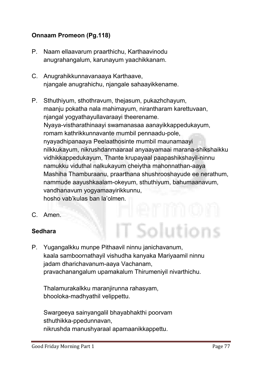#### Onnaam Promeon (Pg.118)

- **P. Naam ellaavarum praarthichu, Karthaavinodu anugrahangalum, karunayum yaachikkanam.**
- **C. Anugrahikkunnavanaaya Karthaave, njangale anugrahichu, njangale sahaayikkename.**
- **P. Sthuthiyum, sthothravum, thejasum, pukazhchayum, maanju pokatha nala mahimayum, nirantharam karettuvaan, njangal yogyathayullavaraayi theerename. Nyaya-vistharathinaayi swamanasaa aanayikkappedukayum, romam kathrikkunnavante mumbil pennaadu-pole, nyayadhipanaaya Peelaathosinte mumbil maunamaayi nilkkukayum, nikrushdanmaaraal anyaayamaai marana-shikshaikku vidhikkappedukayum, Thante krupayaal paapashikshayil-ninnu namukku viduthal nalkukayum cheiytha mahonnathan-aaya Mashiha Thamburaanu, praarthana shushrooshayude ee nerathum, nammude aayushkaalam-okeyum, sthuthiyum, bahumaanavum, vandhanavum yogyamaayirikkunnu, hosho vab'kulas ban la'olmen.**

T Solutions

**C. Amen.**

#### Sedhara

**P. Yugangalkku munpe Pithaavil ninnu janichavanum, kaala samboornathayil vishudha kanyaka Mariyaamil ninnu jadam dharichavanum-aaya Vachanam, pravachanangalum upamakalum Thirumeniyil nivarthichu.** 

**Thalamurakalkku maranjirunna rahasyam, bhooloka-madhyathil velippettu.**

**Swargeeya sainyangalil bhayabhakthi poorvam sthuthikka-ppedunnavan, nikrushda manushyaraal apamaanikkappettu.**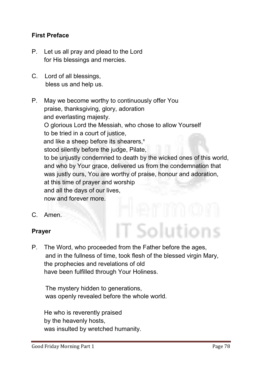#### First Preface

- **P. Let us all pray and plead to the Lord for His blessings and mercies.**
- **C. Lord of all blessings, bless us and help us.**
- **P. May we become worthy to continuously offer You praise, thanksgiving, glory, adoration and everlasting majesty. O glorious Lord the Messiah, who chose to allow Yourself to be tried in a court of justice,** and like a sheep before its shearers,<sup>x</sup>  **stood silently before the judge, Pilate, to be unjustly condemned to death by the wicked ones of this world, and who by Your grace, delivered us from the condemnation that was justly ours, You are worthy of praise, honour and adoration, at this time of prayer and worship and all the days of our lives, now and forever more.**
- **C. Amen.**

#### Prayer

**P. The Word, who proceeded from the Father before the ages, and in the fullness of time, took flesh of the blessed virgin Mary, the prophecies and revelations of old have been fulfilled through Your Holiness.** 

 **The mystery hidden to generations, was openly revealed before the whole world.** 

 **He who is reverently praised by the heavenly hosts, was insulted by wretched humanity.**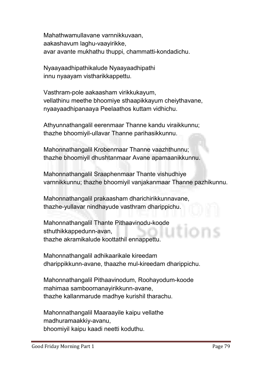**Mahathwamullavane varnnikkuvaan, aakashavum laghu-vaayirikke, avar avante mukhathu thuppi, chammatti-kondadichu.**

**Nyaayaadhipathikalude Nyaayaadhipathi innu nyaayam vistharikkappettu.** 

**Vasthram-pole aakaasham virikkukayum, vellathinu meethe bhoomiye sthaapikkayum cheiythavane, nyaayaadhipanaaya Peelaathos kuttam vidhichu.**

**Athyunnathangalil eerenmaar Thanne kandu viraikkunnu; thazhe bhoomiyil-ullavar Thanne parihasikkunnu.**

**Mahonnathangalil Krobenmaar Thanne vaazhthunnu; thazhe bhoomiyil dhushtanmaar Avane apamaanikkunnu.**

**Mahonnathangalil Sraaphenmaar Thante vishudhiye varnnikkunnu; thazhe bhoomiyil vanjakanmaar Thanne pazhikunnu.**

**Mahonnathangalil prakaasham dharichirikkunnavane, thazhe-yullavar nindhayude vasthram dharippichu.** 

**Mahonnathangalil Thante Pithaavinodu-koode sthuthikkappedunn-avan, thazhe akramikalude koottathil ennappettu.** 

**Mahonnathangalil adhikaarikale kireedam dharippikkunn-avane, thaazhe mul-kireedam dharippichu.**

**Mahonnathangalil Pithaavinodum, Roohayodum-koode mahimaa samboornanayirikkunn-avane, thazhe kallanmarude madhye kurishil tharachu.** 

**Mahonnathangalil Maaraayile kaipu vellathe madhuramaakkiy-avanu, bhoomiyil kaipu kaadi neetti koduthu.**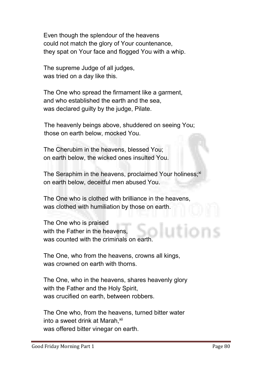**Even though the splendour of the heavens could not match the glory of Your countenance, they spat on Your face and flogged You with a whip.** 

**The supreme Judge of all judges, was tried on a day like this.** 

**The One who spread the firmament like a garment, and who established the earth and the sea, was declared guilty by the judge, Pilate.** 

**The heavenly beings above, shuddered on seeing You; those on earth below, mocked You.** 

**The Cherubim in the heavens, blessed You; on earth below, the wicked ones insulted You.** 

The Seraphim in the heavens, proclaimed Your holiness;<sup>xi</sup> **on earth below, deceitful men abused You.** 

**The One who is clothed with brilliance in the heavens, was clothed with humiliation by those on earth.** 

**The One who is praised with the Father in the heavens, was counted with the criminals on earth.** 

**The One, who from the heavens, crowns all kings, was crowned on earth with thorns.** 

**The One, who in the heavens, shares heavenly glory with the Father and the Holy Spirit, was crucified on earth, between robbers.** 

**The One who, from the heavens, turned bitter water**  into a sweet drink at Marah, xii **was offered bitter vinegar on earth.**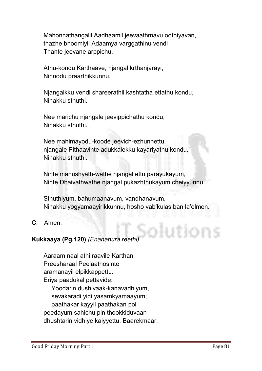**Mahonnathangalil Aadhaamil jeevaathmavu oothiyavan, thazhe bhoomiyil Adaamya varggathinu vendi Thante jeevane arppichu.**

**Athu-kondu Karthaave, njangal krthanjarayi, Ninnodu praarthikkunnu.**

**Njangalkku vendi shareerathil kashtatha ettathu kondu, Ninakku sthuthi.** 

**Nee marichu njangale jeevippichathu kondu, Ninakku sthuthi.** 

**Nee mahimayodu-koode jeevich-ezhunnettu, njangale Pithaavinte adukkalekku kayariyathu kondu, Ninakku sthuthi.** 

**Ninte manushyath-wathe njangal ettu parayukayum, Ninte Dhaivathwathe njangal pukazhthukayum cheiyyunnu.** 

**Sthuthiyum, bahumaanavum, vandhanavum, Ninakku yogyamaayirikkunnu, hosho vab'kulas ban la'olmen.**

**C. Amen.** 

#### Kukkaaya (Pg.120) *(Enananura reethi)*

**Aaraam naal athi raavile Karthan Preesharaal Peelaathosinte aramanayil elpikkappettu. Eriya paadukal pettavide: Yoodarin dushivaak-kanavadhiyum, sevakaradi yidi yasamkyamaayum; paathakar kayyil paathakan pol peedayum sahichu pin thookkiduvaan dhushtarin vidhiye kaiyyettu. Baarekmaar.**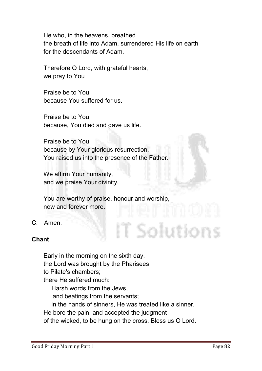**He who, in the heavens, breathed the breath of life into Adam, surrendered His life on earth for the descendants of Adam.** 

**Therefore O Lord, with grateful hearts, we pray to You** 

**Praise be to You because You suffered for us.**

**Praise be to You because, You died and gave us life.** 

**Praise be to You because by Your glorious resurrection, You raised us into the presence of the Father.**

**We affirm Your humanity, and we praise Your divinity.** 

**You are worthy of praise, honour and worship, now and forever more.**

**C. Amen.** 

#### Chant

**Early in the morning on the sixth day, the Lord was brought by the Pharisees to Pilate's chambers; there He suffered much: Harsh words from the Jews, and beatings from the servants; in the hands of sinners, He was treated like a sinner. He bore the pain, and accepted the judgment of the wicked, to be hung on the cross. Bless us O Lord.**

T Solutions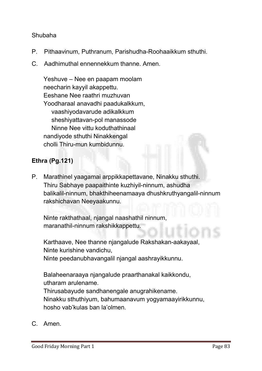#### **Shubaha**

- **P. Pithaavinum, Puthranum, Parishudha-Roohaaikkum sthuthi.**
- **C. Aadhimuthal ennennekkum thanne. Amen.**

**Yeshuve – Nee en paapam moolam neecharin kayyil akappettu. Eeshane Nee raathri muzhuvan Yoodharaal anavadhi paadukalkkum, vaashiyodavarude adikalkkum sheshiyattavan-pol manassode Ninne Nee vittu koduthathinaal nandiyode sthuthi Ninakkengal cholli Thiru-mun kumbidunnu.**

#### Ethra (Pg.121)

**P. Marathinel yaagamai arppikkapettavane, Ninakku sthuthi. Thiru Sabhaye paapaithinte kuzhiyil-ninnum, ashudha balikalil-ninnum, bhakthiheenamaaya dhushkruthyangalil-ninnum rakshichavan Neeyaakunnu.** 

**Ninte rakthathaal, njangal naashathil ninnum, maranathil-ninnum rakshikkappettu.**

**Karthaave, Nee thanne njangalude Rakshakan-aakayaal, Ninte kurishine vandichu, Ninte peedanubhavangalil njangal aashrayikkunnu.** 

**Balaheenaraaya njangalude praarthanakal kaikkondu, utharam arulename.** 

**Thirusabayude sandhanengale anugrahikename. Ninakku sthuthiyum, bahumaanavum yogyamaayirikkunnu, hosho vab'kulas ban la'olmen.**

**C. Amen.**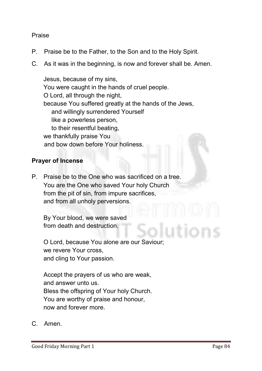#### **Praise**

- **P. Praise be to the Father, to the Son and to the Holy Spirit.**
- **C. As it was in the beginning, is now and forever shall be. Amen.**

**Jesus, because of my sins, You were caught in the hands of cruel people. O Lord, all through the night, because You suffered greatly at the hands of the Jews, and willingly surrendered Yourself like a powerless person, to their resentful beating, we thankfully praise You and bow down before Your holiness.**

#### Prayer of Incense

**P. Praise be to the One who was sacrificed on a tree. You are the One who saved Your holy Church from the pit of sin, from impure sacrifices, and from all unholy perversions.** 

**By Your blood, we were saved from death and destruction.** 

**O Lord, because You alone are our Saviour; we revere Your cross, and cling to Your passion.** 

**Accept the prayers of us who are weak, and answer unto us. Bless the offspring of Your holy Church. You are worthy of praise and honour, now and forever more.**

**C. Amen.**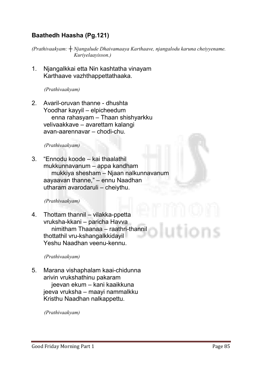#### Baathedh Haasha (Pg.121)

*(Prathivaakyam: ┼ Njangalude Dhaivamaaya Karthaave, njangalodu karuna cheiyyename. Kuriyelaayisson.)*

**1. Njangalkkai etta Nin kashtatha vinayam Karthaave vazhthappettathaaka.**

*(Prathivaakyam)* 

**2. Avaril-oruvan thanne - dhushta Yoodhar kayyil – elpicheedum enna rahasyam – Thaan shishyarkku velivaakkave – avarettam kalangi avan-aarennavar – chodi-chu.**

*(Prathivaakyam)* 

**3. "Ennodu koode – kai thaalathil mukkunnavanum – appa kandham mukkiya shesham – Njaan nalkunnavanum aayaavan thanne," – ennu Naadhan utharam avarodaruli – cheiythu.**

*(Prathivaakyam)* 

**4. Thottam thannil – vilakka-ppetta vruksha-kkani – paricha Havva nimitham Thaanaa – raathri-thannil thottathil vru-kshangalkkidayil Yeshu Naadhan veenu-kennu.**

*(Prathivaakyam)* 

**5. Marana vishaphalam kaai-chidunna arivin vrukshathinu pakaram jeevan ekum – kani kaaikkuna jeeva vruksha – maayi nammalkku Kristhu Naadhan nalkappettu.**

*(Prathivaakyam)*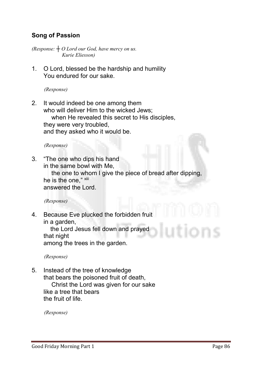#### Song of Passion

*(Response: ┼ O Lord our God, have mercy on us. Kurie Eliesson)*

**1. O Lord, blessed be the hardship and humility You endured for our sake.** 

*(Response)*

**2. It would indeed be one among them who will deliver Him to the wicked Jews; when He revealed this secret to His disciples, they were very troubled, and they asked who it would be.**

*(Response)*

**3. "The one who dips his hand in the same bowl with Me,** 

> **the one to whom I give the piece of bread after dipping, he is the one," xiii answered the Lord.**

*(Response)*

**4. Because Eve plucked the forbidden fruit in a garden,** 

**the Lord Jesus fell down and prayed that night**

**among the trees in the garden.** 

*(Response)*

**5. Instead of the tree of knowledge that bears the poisoned fruit of death, Christ the Lord was given for our sake like a tree that bears the fruit of life.**

*(Response)*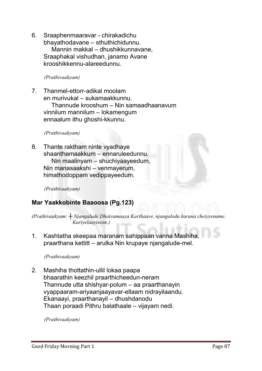**6. Sraaphenmaaravar - chirakadichu bhayathodavane – sthuthichidunnu. Mannin makkal – dhushikkunnavane, Sraaphakal vishudhan, janamo Avane krooshikkennu-alareedunnu.**

*(Prathivaakyam)* 

**7. Thanmel-ettorr-adikal moolam en murivukal – sukamaakkunnu. Thannude krooshum – Nin samaadhaanavum vinnilum mannilum – lokamengum ennaalum ithu ghoshi-kkunnu.**

*(Prathivaakyam)* 

**8. Thante raktham ninte vyadhaye shaanthamaakkum – ennaruleedunnu. Nin maalinyam – shuchiyaayeedum, Nin manasaakshi – venmayerum, himathodoppam vedippayeedum.**

*(Prathivaakyam)*

#### Mar Yaakkobinte Baaoosa (Pg.123)

*(Prathivaakyam: ┼ Njangalude Dhaivamaaya Karthaave, njangalodu karuna cheiyyename. Kuriyelaayisson.)*

**1. Kashtatha skeepaa maranam sahippaan vanna Mashiha, praarthana kettitt – arulka Nin krupaye njangalude-mel.**

*(Prathivaakyam)* 

**2. Mashiha thottathin-ullil lokaa paapa bhaarathin keezhil praarthicheedun-neram Thannude utta shishyar-polum – aa praarthanayin vyappaaram-ariyaanjaayavar-ellaam nidrayilaandu. Ekanaayi, praarthanayil – dhushdanodu Thaan poraadi Pithru balathaale – vijayam nedi.**

*(Prathivaakyam)*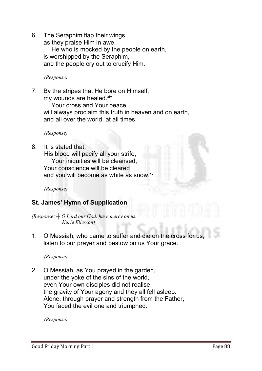**6. The Seraphim flap their wings** 

**as they praise Him in awe. He who is mocked by the people on earth, is worshipped by the Seraphim, and the people cry out to crucify Him.** 

*(Response)*

**7. By the stripes that He bore on Himself, my wounds are healed.xiv**

**Your cross and Your peace will always proclaim this truth in heaven and on earth, and all over the world, at all times.**

*(Response)*

**8. It is stated that,** 

**His blood will pacify all your strife, Your iniquities will be cleansed, Your conscience will be cleared** and you will become as white as snow.<sup>xv</sup>

*(Response)*

#### St. James' Hymn of Supplication

*(Response: ┼ O Lord our God, have mercy on us. Kurie Eliesson)*

**1. O Messiah, who came to suffer and die on the cross for us, listen to our prayer and bestow on us Your grace.**

*(Response)*

**2. O Messiah, as You prayed in the garden, under the yoke of the sins of the world, even Your own disciples did not realise the gravity of Your agony and they all fell asleep. Alone, through prayer and strength from the Father, You faced the evil one and triumphed.** 

*(Response)*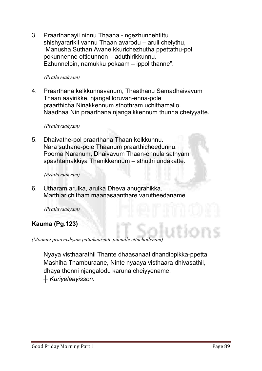**3. Praarthanayil ninnu Thaana - ngezhunnehtittu shishyararikil vannu Thaan avarodu – aruli cheiythu, "Manusha Suthan Avane kkurichezhutha ppettathu-pol pokunnenne ottidunnon – aduthirikkunnu. Ezhunnelpin, namukku pokaam – ippol thanne".**

#### *(Prathivaakyam)*

**4. Praarthana kelkkunnavanum, Thaathanu Samadhaivavum Thaan aayirikke, njangaliloruvan-enna-pole praarthicha Ninakkennum sthothram uchithamallo. Naadhaa Nin praarthana njangalkkennum thunna cheiyyatte.**

#### *(Prathivaakyam)*

**5. Dhaivathe-pol praarthana Thaan kelkkunnu. Nara suthane-pole Thaanum praarthicheedunnu. Poorna Naranum, Dhaivavum Thaan-ennula sathyam spashtamakkiya Thanikkennum – sthuthi undakatte.**

*(Prathivaakyam)* 

**6. Utharam arulka, arulka Dheva anugrahikka. Marthiar chitham maanasaanthare varutheedaname.**

*(Prathivaakyam)* 

#### Kauma (Pg.123)

*(Moonnu praavashyam pattakaarente pinnalle ettuchollenam)*

**Nyaya visthaarathil Thante dhaasanaal dhandippikka-ppetta Mashiha Thamburaane, Ninte nyaaya visthaara dhivasathil, dhaya thonni njangalodu karuna cheiyyename.**  *┼ Kuriyelaayisson.*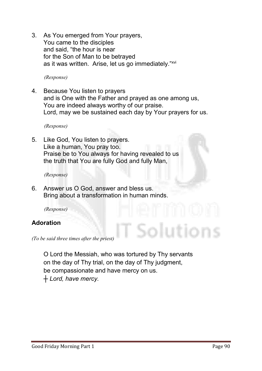**3. As You emerged from Your prayers, You came to the disciples and said, "the hour is near for the Son of Man to be betrayed as it was written. Arise, let us go immediately."xvi**

*(Response)*

**4. Because You listen to prayers and is One with the Father and prayed as one among us, You are indeed always worthy of our praise. Lord, may we be sustained each day by Your prayers for us.**

*(Response)*

**5. Like God, You listen to prayers. Like a human, You pray too. Praise be to You always for having revealed to us the truth that You are fully God and fully Man,** 

*(Response)*

**6. Answer us O God, answer and bless us. Bring about a transformation in human minds.** 

 *(Response)*

#### Adoration

*(To be said three times after the priest)*

**O Lord the Messiah, who was tortured by Thy servants on the day of Thy trial, on the day of Thy judgment, be compassionate and have mercy on us.**  *┼ Lord, have mercy.*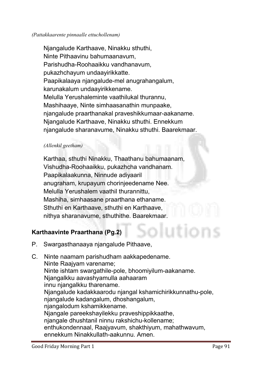#### *(Pattakkaarente pinnaalle ettuchollenam)*

**Njangalude Karthaave, Ninakku sthuthi, Ninte Pithaavinu bahumaanavum, Parishudha-Roohaaikku vandhanavum, pukazhchayum undaayirikkatte. Paapikalaaya njangalude-mel anugrahangalum, karunakalum undaayirikkename. Melulla Yerushaleminte vaathilukal thurannu, Mashihaaye, Ninte simhaasanathin munpaake, njangalude praarthanakal praveshikkumaar-aakaname. Njangalude Karthaave, Ninakku sthuthi. Ennekkum njangalude sharanavume, Ninakku sthuthi. Baarekmaar.** 

#### *(Allenkil geetham)*

**Karthaa, sthuthi Ninakku, Thaathanu bahumaanam, Vishudha-Roohaaikku, pukazhcha vandhanam. Paapikalaakunna, Ninnude adiyaaril anugraham, krupayum chorinjeedename Nee. Melulla Yerushalem vaathil thurannittu, Mashiha, simhaasane praarthana ethaname. Sthuthi en Karthaave, sthuthi en Karthaave, nithya sharanavume, sthuthithe. Baarekmaar.**

#### Karthaavinte Praarthana (Pg.2)

**P. Swargasthanaaya njangalude Pithaave,**

**C. Ninte naamam parishudham aakkapedename. Ninte Raajyam varename; Ninte ishtam swargathile-pole, bhoomiyilum-aakaname. Njangalkku aavashyamulla aahaaram innu njangalkku tharename. Njangalude kadakkaarodu njangal kshamichirikkunnathu-pole, njangalude kadangalum, dhoshangalum, njangalodum kshamikkename. Njangale pareekshayilekku praveshippikkaathe, njangale dhushtanil ninnu rakshichu-kollename; enthukondennaal, Raajyavum, shakthiyum, mahathwavum, ennekkum Ninakkullath-aakunnu. Amen.**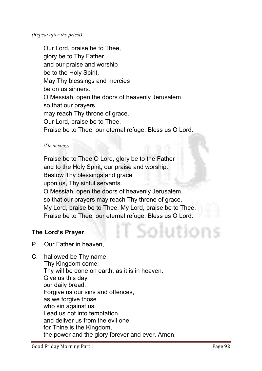**Our Lord, praise be to Thee, glory be to Thy Father, and our praise and worship be to the Holy Spirit. May Thy blessings and mercies be on us sinners. O Messiah, open the doors of heavenly Jerusalem so that our prayers may reach Thy throne of grace. Our Lord, praise be to Thee. Praise be to Thee, our eternal refuge. Bless us O Lord.**

#### *(Or in song)*

**Praise be to Thee O Lord, glory be to the Father and to the Holy Spirit, our praise and worship. Bestow Thy blessings and grace upon us, Thy sinful servants. O Messiah, open the doors of heavenly Jerusalem so that our prayers may reach Thy throne of grace. My Lord, praise be to Thee. My Lord, praise be to Thee. Praise be to Thee, our eternal refuge. Bless us O Lord.**

#### The Lord's Prayer

- **P. Our Father in heaven,**
- **C. hallowed be Thy name. Thy Kingdom come; Thy will be done on earth, as it is in heaven. Give us this day our daily bread. Forgive us our sins and offences, as we forgive those who sin against us. Lead us not into temptation and deliver us from the evil one; for Thine is the Kingdom, the power and the glory forever and ever. Amen.**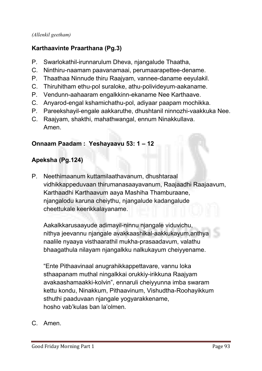#### *(Allenkil geetham)*

#### Karthaavinte Praarthana (Pg.3)

- **P. Swarlokathil-irunnarulum Dheva, njangalude Thaatha,**
- **C. Ninthiru-naamam paavanamaai, perumaarapettee-dename.**
- **P. Thaathaa Ninnude thiru Raajyam, vannee-daname eeyulakil.**
- **C. Thiruhitham ethu-pol suraloke, athu-polivideyum-aakaname.**
- **P. Vendunn-aahaaram engalkkinn-ekaname Nee Karthaave.**
- **C. Anyarod-engal kshamichathu-pol, adiyaar paapam mochikka.**
- **P. Pareekshayil-engale aakkaruthe, dhushtanil ninnozhi-vaakkuka Nee.**
- **C. Raajyam, shakthi, mahathwangal, ennum Ninakkullava. Amen.**

#### Onnaam Paadam : Yeshayaavu 53: 1 – 12

#### Apeksha (Pg.124)

**P. Neethimaanum kuttamilaathavanum, dhushtaraal vidhikkappeduvaan thirumanasaayavanum, Raajaadhi Raajaavum, Karthaadhi Karthaavum aaya Mashiha Thamburaane, njangalodu karuna cheiythu, njangalude kadangalude cheettukale keerikkalayaname.** 

**Aakalkkarusaayude adimayil-ninnu njangale viduvichu, nithya jeevannu njangale avakkaashikal-aakkukayum,anthya naalile nyaaya visthaarathil mukha-prasaadavum, valathu bhaagathula nilayam njangalkku nalkukayum cheiyyename.** 

**"Ente Pithaavinaal anugrahikkappettavare, vannu loka sthaapanam muthal ningalkkai orukkiy-irikkuna Raajyam avakaashamaakki-kolvin", ennaruli cheiyyunna imba swaram kettu kondu, Ninakkum, Pithaavinum, Vishudtha-Roohayikkum sthuthi paaduvaan njangale yogyarakkename, hosho vab'kulas ban la'olmen.**

**C. Amen.**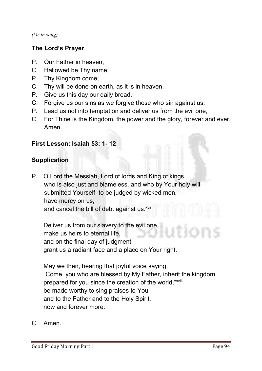*(Or in song)*

#### The Lord's Prayer

- **P. Our Father in heaven,**
- **C. Hallowed be Thy name.**
- **P. Thy Kingdom come;**
- **C. Thy will be done on earth, as it is in heaven.**
- **P. Give us this day our daily bread.**
- **C. Forgive us our sins as we forgive those who sin against us.**
- **P. Lead us not into temptation and deliver us from the evil one,**
- **C. For Thine is the Kingdom, the power and the glory, forever and ever. Amen.**

#### First Lesson: Isaiah 53: 1- 12

#### Supplication

**P. O Lord the Messiah, Lord of lords and King of kings, who is also just and blameless, and who by Your holy will submitted Yourself to be judged by wicked men, have mercy on us, and cancel the bill of debt against us. xvii**

**Deliver us from our slavery to the evil one, make us heirs to eternal life, and on the final day of judgment, grant us a radiant face and a place on Your right.**

**May we then, hearing that joyful voice saying, "Come, you who are blessed by My Father, inherit the kingdom prepared for you since the creation of the world,"xviii be made worthy to sing praises to You and to the Father and to the Holy Spirit, now and forever more.** 

**C. Amen.**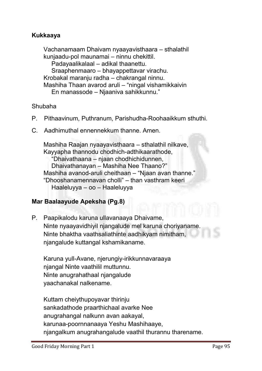#### Kukkaaya

**Vachanamaam Dhaivam nyaayavisthaara – sthalathil kunjaadu-pol maunamai – ninnu chekittil. Padayaalikalaal – adikal thaanettu. Sraaphenmaaro – bhayappettavar virachu. Krobakal maranju radha – chakrangal ninnu. Mashiha Thaan avarod aruli – "ningal vishamikkaivin En manassode – Njaaniva sahikkunnu."**

#### **Shubaha**

- **P. Pithaavinum, Puthranum, Parishudha-Roohaaikkum sthuthi.**
- **C. Aadhimuthal ennennekkum thanne. Amen.**

**Mashiha Raajan nyaayavisthaara – sthalathil nilkave, Kayyapha thannodu chodhich-adthikaarathode, "Dhaivathaana – njaan chodhichidunnen, Dhaivathanayan – Mashiha Nee Thaano?" Mashiha avanod-aruli cheithaan – "Njaan avan thanne." "Dhooshanamennavan cholli" – than vasthram keeri Haaleluyya – oo – Haaleluyya**

#### Mar Baalaayude Apeksha (Pg.8)

**P. Paapikalodu karuna ullavanaaya Dhaivame, Ninte nyaayavidhiyil njangalude mel karuna choriyaname. Ninte bhaktha vaathsaliathinte aadhikyam nimitham, njangalude kuttangal kshamikaname.**

**Karuna yull-Avane, njerungiy-irikkunnavaraaya njangal Ninte vaathilil muttunnu. Ninte anugrahathaal njangalude yaachanakal nalkename.** 

**Kuttam cheiythupoyavar thirinju sankadathode praarthichaal avarke Nee anugrahangal nalkunn avan aakayal, karunaa-poornnanaaya Yeshu Mashihaaye, njangalkum anugrahangalude vaathil thurannu tharename.**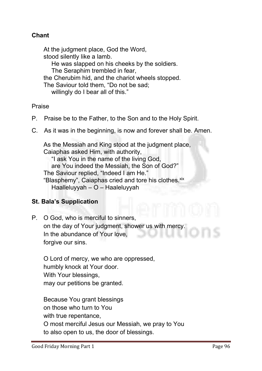#### Chant

**At the judgment place, God the Word, stood silently like a lamb. He was slapped on his cheeks by the soldiers. The Seraphim trembled in fear, the Cherubim hid, and the chariot wheels stopped. The Saviour told them, "Do not be sad; willingly do I bear all of this."**

**Praise**

- **P. Praise be to the Father, to the Son and to the Holy Spirit.**
- **C. As it was in the beginning, is now and forever shall be. Amen.**

**As the Messiah and King stood at the judgment place, Caiaphas asked Him, with authority, "I ask You in the name of the living God, are You indeed the Messiah, the Son of God?" The Saviour replied, "Indeed I am He."** "Blasphemy", Caiaphas cried and tore his clothes. xix **Haalleluyyah – O – Haaleluyyah**

#### St. Bala's Supplication

**P. O God, who is merciful to sinners, on the day of Your judgment, shower us with mercy. In the abundance of Your love, forgive our sins.**

**O Lord of mercy, we who are oppressed, humbly knock at Your door. With Your blessings, may our petitions be granted.**

**Because You grant blessings on those who turn to You with true repentance, O most merciful Jesus our Messiah, we pray to You to also open to us, the door of blessings.**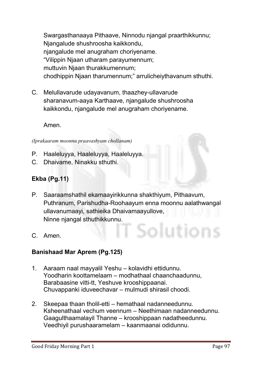**Swargasthanaaya Pithaave, Ninnodu njangal praarthikkunnu; Njangalude shushroosha kaikkondu, njangalude mel anugraham choriyename. "Vilippin Njaan utharam parayumennum; muttuvin Njaan thurakkumennum; chodhippin Njaan tharumennum;" arrulicheiythavanum sthuthi.** 

**C. Melullavarude udayavanum, thaazhey-ullavarude sharanavum-aaya Karthaave, njangalude shushroosha kaikkondu, njangalude mel anugraham choriyename.**

**Amen.**

*(Iprakaaram moonnu praavashyam chollanam)*

- **P. Haaleluyya, Haaleluyya, Haaleluyya.**
- **C. Dhaivame, Ninakku sthuthi.**

#### Ekba (Pg.11)

**P. Saaraamshathil ekamaayirikkunna shakthiyum, Pithaavum, Puthranum, Parishudha-Roohaayum enna moonnu aalathwangal ullavanumaayi, sathieika Dhaivamaayullove, Ninne njangal sthuthikkunnu.**

iolution

**C. Amen.**

#### Banishaad Mar Aprem (Pg.125)

- **1. Aaraam naal mayyalil Yeshu – kolavidhi ettidunnu. Yoodharin koottamelaam – modhathaal chaanchaadunnu, Barabaasine vitti-tt, Yeshuve krooshippaanai. Chuvappanki iduveechavar – mulmudi shirasil choodi.**
- **2. Skeepaa thaan tholil-etti – hemathaal nadanneedunnu. Ksheenathaal vechum veennum – Neethimaan nadanneedunnu. Gaagulthaamalayil Thanne – krooshippaan nadatheedunnu. Veedhiyil purushaaramelam – kaanmaanai odidunnu.**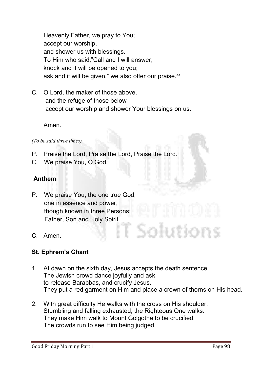**Heavenly Father, we pray to You; accept our worship, and shower us with blessings. To Him who said,"Call and I will answer; knock and it will be opened to you;** ask and it will be given," we also offer our praise.xx

**C. O Lord, the maker of those above, and the refuge of those below accept our worship and shower Your blessings on us.**

**Amen.**

*(To be said three times)*

- **P. Praise the Lord, Praise the Lord, Praise the Lord.**
- **C. We praise You, O God.**

#### Anthem

- **P. We praise You, the one true God; one in essence and power, though known in three Persons: Father, Son and Holy Spirit.**
- **C. Amen.**

#### St. Ephrem's Chant

- **1. At dawn on the sixth day, Jesus accepts the death sentence. The Jewish crowd dance joyfully and ask to release Barabbas, and crucify Jesus. They put a red garment on Him and place a crown of thorns on His head.**
- **2. With great difficulty He walks with the cross on His shoulder. Stumbling and falling exhausted, the Righteous One walks. They make Him walk to Mount Golgotha to be crucified. The crowds run to see Him being judged.**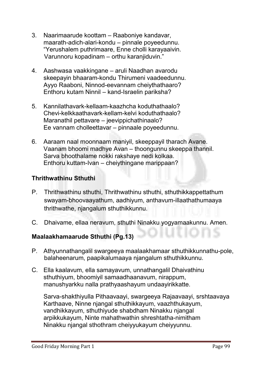- **3. Naarimaarude koottam – Raaboniye kandavar, maarath-adich-alari-kondu – pinnale poyeedunnu. "Yerushalem puthrimaare, Enne cholli karayaaivin. Varunnoru kopadinam – orthu karanjiduvin."**
- **4. Aashwasa vaakkingane – aruli Naadhan avarodu skeepayin bhaaram-kondu Thirumeni vaadeedunnu. Ayyo Raaboni, Ninnod-eevannam cheiythathaaro? Enthoru kutam Ninnil – kand-Israelin pariksha?**
- **5. Kannilathavark-kellaam-kaazhcha koduthathaalo? Chevi-kelkkaathavark-kellam-kelvi koduthathaalo? Maranathil pettavare – jeevippichathinaalo? Ee vannam cholleettavar – pinnaale poyeedunnu.**
- **6. Aaraam naal moonnaam maniyil, skeeppayil tharach Avane. Vaanam bhoomi madhye Avan – thoongunnu skeeppa thannil. Sarva bhoothalame nokki rakshaye nedi kolkaa. Enthoru kuttam-Ivan – cheiythingane marippaan?**

#### Thrithwathinu Sthuthi

- **P. Thrithwathinu sthuthi, Thrithwathinu sthuthi, sthuthikkappettathum swayam-bhoovaayathum, aadhiyum, anthavum-illaathathumaaya thrithwathe, njangalum sthuthikkunnu.**
- **C. Dhaivame, ellaa neravum, sthuthi Ninakku yogyamaakunnu. Amen.**

#### Maalaakhamaarude Sthuthi (Pg.13)

- **P. Athyunnathangalil swargeeya maalaakhamaar sthuthikkunnathu-pole, balaheenarum, paapikalumaaya njangalum sthuthikkunnu.**
- **C. Ella kaalavum, ella samayavum, unnathangalil Dhaivathinu sthuthiyum, bhoomiyil samaadhaanavum, nirappum, manushyarkku nalla prathyaashayum undaayirikkatte.**

**Sarva-shakthiyulla Pithaavaayi, swargeeya Rajaavaayi, srshtaavaya Karthaave, Ninne njangal sthuthikkayum, vaazhthukayum, vandhikkayum, sthuthiyude shabdham Ninakku njangal arpikkukayum, Ninte mahathwathin shreshtatha-nimitham Ninakku njangal sthothram cheiyyukayum cheiyyunnu.**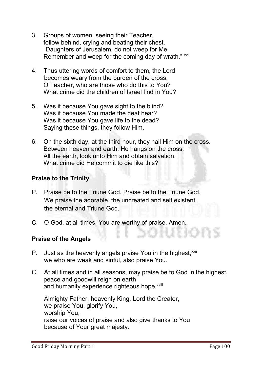- **3. Groups of women, seeing their Teacher, follow behind, crying and beating their chest, "Daughters of Jerusalem, do not weep for Me.** Remember and weep for the coming day of wrath." xxi
- **4. Thus uttering words of comfort to them, the Lord becomes weary from the burden of the cross. O Teacher, who are those who do this to You? What crime did the children of Israel find in You?**
- **5. Was it because You gave sight to the blind? Was it because You made the deaf hear? Was it because You gave life to the dead? Saying these things, they follow Him.**
- **6. On the sixth day, at the third hour, they nail Him on the cross. Between heaven and earth, He hangs on the cross. All the earth, look unto Him and obtain salvation. What crime did He commit to die like this?**

#### Praise to the Trinity

- **P. Praise be to the Triune God. Praise be to the Triune God. We praise the adorable, the uncreated and self existent, the eternal and Triune God.**
- **C. O God, at all times, You are worthy of praise. Amen.**

#### Praise of the Angels

- **P.** Just as the heavenly angels praise You in the highest.<sup>xxii</sup> **we who are weak and sinful, also praise You.**
- **C. At all times and in all seasons, may praise be to God in the highest, peace and goodwill reign on earth** and humanity experience righteous hope.<sup>xxiii</sup>

**Almighty Father, heavenly King, Lord the Creator, we praise You, glorify You, worship You, raise our voices of praise and also give thanks to You because of Your great majesty.**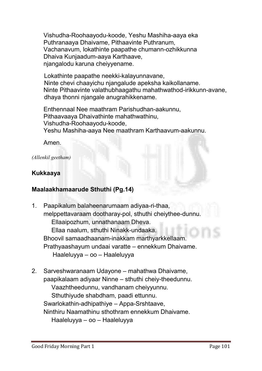**Vishudha-Roohaayodu-koode, Yeshu Mashiha-aaya eka Puthranaaya Dhaivame, Pithaavinte Puthranum, Vachanavum, lokathinte paapathe chumann-ozhikkunna Dhaiva Kunjaadum-aaya Karthaave, njangalodu karuna cheiyyename.** 

**Lokathinte paapathe neekki-kalayunnavane, Ninte chevi chaayichu njangalude apeksha kaikollaname. Ninte Pithaavinte valathubhaagathu mahathwathod-irikkunn-avane, dhaya thonni njangale anugrahikkename.** 

**Enthennaal Nee maathram Parishudhan-aakunnu, Pithaavaaya Dhaivathinte mahathwathinu, Vishudha-Roohaayodu-koode, Yeshu Mashiha-aaya Nee maathram Karthaavum-aakunnu.**

**Amen.**

#### *(Allenkil geetham)*

#### Kukkaaya

#### Maalaakhamaarude Sthuthi (Pg.14)

- **1. Paapikalum balaheenarumaam adiyaa-ri-thaa, melppettavaraam dootharay-pol, sthuthi cheiythee-dunnu. Ellaaipozhum, unnathanaam Dheva. Ellaa naalum, sthuthi Ninakk-undaaka. Bhoovil samaadhaanam-inakkam marthyarkkellaam. Prathyaashayum undaai varatte – ennekkum Dhaivame. Haaleluyya – oo – Haaleluyya**
- **2. Sarveshwaranaam Udayone – mahathwa Dhaivame, paapikalaam adiyaar Ninne – sthuthi cheiy-theedunnu. Vaazhtheedunnu, vandhanam cheiyyunnu. Sthuthiyude shabdham, paadi ettunnu. Swarlokathin-adhipathiye – Appa-Srshtaave, Ninthiru Naamathinu sthothram ennekkum Dhaivame. Haaleluyya – oo – Haaleluyya**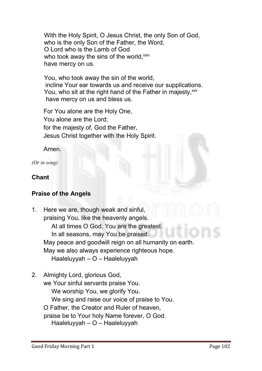**With the Holy Spirit, O Jesus Christ, the only Son of God, who is the only Son of the Father, the Word, O Lord who is the Lamb of God**  who took away the sins of the world,<sup>xxiv</sup> **have mercy on us.**

 **You, who took away the sin of the world, incline Your ear towards us and receive our supplications.** You, who sit at the right hand of the Father in majesty, xxv **have mercy on us and bless us.**

**For You alone are the Holy One, You alone are the Lord; for the majesty of, God the Father, Jesus Christ together with the Holy Spirit.**

**Amen.**

*(Or in song)*

#### Chant

#### Praise of the Angels

- **1. Here we are, though weak and sinful, praising You, like the heavenly angels. At all times O God, You are the greatest. In all seasons, may You be praised. May peace and goodwill reign on all humanity on earth. May we also always experience righteous hope. Haaleluyyah – O – Haaleluyyah**
- **2. Almighty Lord, glorious God, we Your sinful servants praise You. We worship You, we glorify You. We sing and raise our voice of praise to You. O Father, the Creator and Ruler of heaven, praise be to Your holy Name forever, O God. Haaleluyyah – O – Haaleluyyah**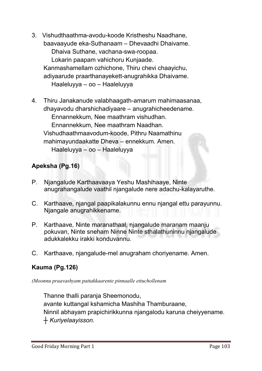- **3. Vishudthaathma-avodu-koode Kristheshu Naadhane, baavaayude eka-Suthanaam – Dhevaadhi Dhaivame. Dhaiva Suthane, vachana-swa-roopaa. Lokarin paapam vahichoru Kunjaade. Kanmashamellam ozhichone, Thiru chevi chaayichu, adiyaarude praarthanayekett-anugrahikka Dhaivame. Haaleluyya – oo – Haaleluyya**
- **4. Thiru Janakanude valabhaagath-amarum mahimaasanaa, dhayavodu dharshichadiyaare – anugrahicheedename. Ennannekkum, Nee maathram vishudhan. Ennannekkum, Nee maathram Naadhan. Vishudhaathmaavodum-koode, Pithru Naamathinu mahimayundaakatte Dheva – ennekkum. Amen. Haaleluyya – oo – Haaleluyya**

#### Apeksha (Pg.16)

- **P. Njangalude Karthaavaaya Yeshu Mashihaaye, Ninte anugrahangalude vaathil njangalude nere adachu-kalayaruthe.**
- **C. Karthaave, njangal paapikalakunnu ennu njangal ettu parayunnu. Njangale anugrahikkename.**
- **P. Karthaave, Ninte maranathaal, njangalude maranam maanju pokuvan, Ninte sneham Ninne Ninte sthalathuninnu njangalude adukkalekku irakki konduvannu.**
- **C. Karthaave, njangalude-mel anugraham choriyename. Amen.**

#### Kauma (Pg.126)

*(Moonnu praavashyam pattakkaarente pinnaalle ettuchollenam*

**Thanne thalli paranja Sheemonodu, avante kuttangal kshamicha Mashiha Thamburaane, Ninnil abhayam prapichirikkunna njangalodu karuna cheiyyename.** *┼ Kuriyelaayisson.*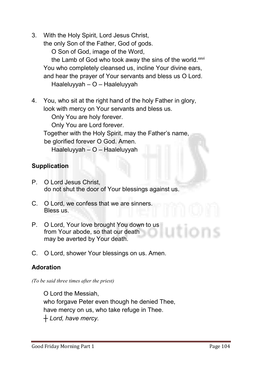**3. With the Holy Spirit, Lord Jesus Christ,** 

**the only Son of the Father, God of gods.**

**O Son of God, image of the Word,**

**the Lamb of God who took away the sins of the world.xxvi You who completely cleansed us, incline Your divine ears, and hear the prayer of Your servants and bless us O Lord. Haaleluyyah – O – Haaleluyyah**

**4. You, who sit at the right hand of the holy Father in glory, look with mercy on Your servants and bless us.**

**Only You are holy forever. Only You are Lord forever. Together with the Holy Spirit, may the Father's name, be glorified forever O God. Amen. Haaleluyyah – O – Haaleluyyah**

#### **Supplication**

- **P. O Lord Jesus Christ, do not shut the door of Your blessings against us.**
- **C. O Lord, we confess that we are sinners. Bless us.**
- **P. O Lord, Your love brought You down to us from Your abode, so that our death may be averted by Your death.**
- **C. O Lord, shower Your blessings on us. Amen.**

#### Adoration

*(To be said three times after the priest)*

**O Lord the Messiah, who forgave Peter even though he denied Thee, have mercy on us, who take refuge in Thee.**  *┼ Lord, have mercy.*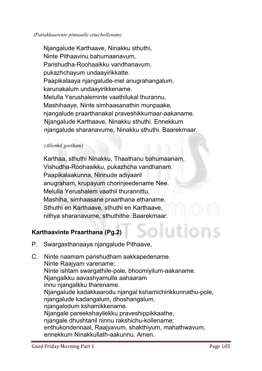#### *(Pattakkaarente pinnaalle ettuchollenam)*

**Njangalude Karthaave, Ninakku sthuthi, Ninte Pithaavinu bahumaanavum, Parishudha-Roohaaikku vandhanavum, pukazhchayum undaayirikkatte. Paapikalaaya njangalude-mel anugrahangalum, karunakalum undaayirikkename. Melulla Yerushaleminte vaathilukal thurannu, Mashihaaye, Ninte simhaasanathin munpaake, njangalude praarthanakal praveshikkumaar-aakaname. Njangalude Karthaave, Ninakku sthuthi. Ennekkum njangalude sharanavume, Ninakku sthuthi. Baarekmaar.** 

#### *(Allenkil geetham)*

**Karthaa, sthuthi Ninakku, Thaathanu bahumaanam, Vishudha-Roohaaikku, pukazhcha vandhanam. Paapikalaakunna, Ninnude adiyaaril anugraham, krupayum chorinjeedename Nee. Melulla Yerushalem vaathil thurannittu, Mashiha, simhaasane praarthana ethaname. Sthuthi en Karthaave, sthuthi en Karthaave, nithya sharanavume, sthuthithe. Baarekmaar.**

#### Karthaavinte Praarthana (Pg.2)

**P. Swargasthanaaya njangalude Pithaave,**

**C. Ninte naamam parishudham aakkapedename. Ninte Raajyam varename; Ninte ishtam swargathile-pole, bhoomiyilum-aakaname. Njangalkku aavashyamulla aahaaram innu njangalkku tharename. Njangalude kadakkaarodu njangal kshamichirikkunnathu-pole, njangalude kadangalum, dhoshangalum, njangalodum kshamikkename. Njangale pareekshayilekku praveshippikkaathe, njangale dhushtanil ninnu rakshichu-kollename; enthukondennaal, Raajyavum, shakthiyum, mahathwavum, ennekkum Ninakkullath-aakunnu. Amen.**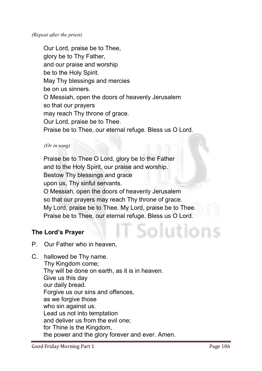**Our Lord, praise be to Thee, glory be to Thy Father, and our praise and worship be to the Holy Spirit. May Thy blessings and mercies be on us sinners. O Messiah, open the doors of heavenly Jerusalem so that our prayers may reach Thy throne of grace. Our Lord, praise be to Thee. Praise be to Thee, our eternal refuge. Bless us O Lord.**

#### *(Or in song)*

**Praise be to Thee O Lord, glory be to the Father and to the Holy Spirit, our praise and worship. Bestow Thy blessings and grace upon us, Thy sinful servants. O Messiah, open the doors of heavenly Jerusalem so that our prayers may reach Thy throne of grace. My Lord, praise be to Thee. My Lord, praise be to Thee. Praise be to Thee, our eternal refuge. Bless us O Lord.**

#### The Lord's Prayer

- **P. Our Father who in heaven,**
- **C. hallowed be Thy name. Thy Kingdom come; Thy will be done on earth, as it is in heaven. Give us this day our daily bread. Forgive us our sins and offences, as we forgive those who sin against us. Lead us not into temptation and deliver us from the evil one; for Thine is the Kingdom, the power and the glory forever and ever. Amen.**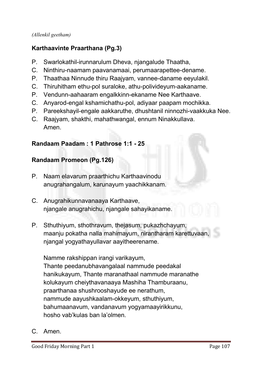#### *(Allenkil geetham)*

#### Karthaavinte Praarthana (Pg.3)

- **P. Swarlokathil-irunnarulum Dheva, njangalude Thaatha,**
- **C. Ninthiru-naamam paavanamaai, perumaarapettee-dename.**
- **P. Thaathaa Ninnude thiru Raajyam, vannee-daname eeyulakil.**
- **C. Thiruhitham ethu-pol suraloke, athu-polivideyum-aakaname.**
- **P. Vendunn-aahaaram engalkkinn-ekaname Nee Karthaave.**
- **C. Anyarod-engal kshamichathu-pol, adiyaar paapam mochikka.**
- **P. Pareekshayil-engale aakkaruthe, dhushtanil ninnozhi-vaakkuka Nee.**
- **C. Raajyam, shakthi, mahathwangal, ennum Ninakkullava. Amen.**

#### Randaam Paadam : 1 Pathrose 1:1 - 25

#### Randaam Promeon (Pg.126)

- **P. Naam elavarum praarthichu Karthaavinodu anugrahangalum, karunayum yaachikkanam.**
- **C. Anugrahikunnavanaaya Karthaave, njangale anugrahichu, njangale sahayikaname.**
- **P. Sthuthiyum, sthothravum, thejasum, pukazhchayum, maanju pokatha nalla mahimayum, nirantharam karettuvaan, njangal yogyathayullavar aayitheerename.**

**Namme rakshippan irangi varikayum, Thante peedanubhavangalaal nammude peedakal hanikukayum, Thante maranathaal nammude maranathe kolukayum cheiythavanaaya Mashiha Thamburaanu, praarthanaa shushrooshayude ee nerathum, nammude aayushkaalam-okkeyum, sthuthiyum, bahumaanavum, vandanavum yogyamaayirikkunu, hosho vab'kulas ban la'olmen.**

**C. Amen.**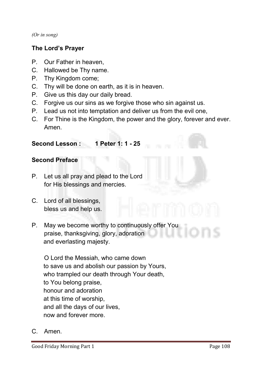*(Or in song)*

#### The Lord's Prayer

- **P. Our Father in heaven,**
- **C. Hallowed be Thy name.**
- **P. Thy Kingdom come;**
- **C. Thy will be done on earth, as it is in heaven.**
- **P. Give us this day our daily bread.**
- **C. Forgive us our sins as we forgive those who sin against us.**
- **P. Lead us not into temptation and deliver us from the evil one,**
- **C. For Thine is the Kingdom, the power and the glory, forever and ever. Amen.**

#### Second Lesson : 1 Peter 1: 1 - 25

#### Second Preface

- **P. Let us all pray and plead to the Lord for His blessings and mercies.**
- **C. Lord of all blessings, bless us and help us.**
- **P. May we become worthy to continuously offer You praise, thanksgiving, glory, adoration and everlasting majesty.**

 **O Lord the Messiah, who came down to save us and abolish our passion by Yours, who trampled our death through Your death, to You belong praise, honour and adoration at this time of worship, and all the days of our lives, now and forever more.**

**C. Amen.**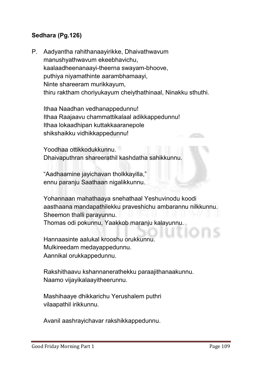#### Sedhara (Pg.126)

**P. Aadyantha rahithanaayirikke, Dhaivathwavum manushyathwavum ekeebhavichu, kaalaadheenanaayi-theerna swayam-bhoove, puthiya niyamathinte aarambhamaayi, Ninte shareeram murikkayum, thiru raktham choriyukayum cheiythathinaal, Ninakku sthuthi.** 

**Ithaa Naadhan vedhanappedunnu! Ithaa Raajaavu chammattikalaal adikkappedunnu! Ithaa lokaadhipan kuttakkaaranepole shikshaikku vidhikkappedunnu!** 

**Yoodhaa ottikkodukkunnu. Dhaivaputhran shareerathil kashdatha sahikkunnu.**

**"Aadhaamine jayichavan tholkkayilla," ennu paranju Saathaan nigalikkunnu.** 

**Yohannaan mahathaaya snehathaal Yeshuvinodu koodi aasthaana mandapathilekku praveshichu ambarannu nilkkunnu. Sheemon thalli parayunnu. Thomas odi pokunnu, Yaakkob maranju kalayunnu.**

**Hannaasinte aalukal krooshu orukkunnu. Mulkireedam medayappedunnu. Aannikal orukkappedunnu.**

**Rakshithaavu kshannanerathekku paraajithanaakunnu. Naamo vijayikalaayitheerunnu.** 

**Mashihaaye dhikkarichu Yerushalem puthri vilaapathil irikkunnu.**

**Avanil aashrayichavar rakshikkappedunnu.** 

a<sup>ndin</sup>a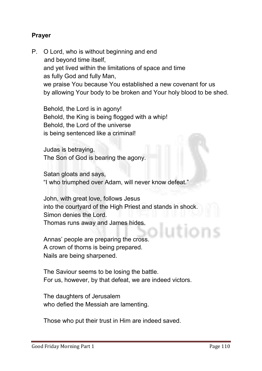#### Prayer

**P. O Lord, who is without beginning and end and beyond time itself, and yet lived within the limitations of space and time as fully God and fully Man, we praise You because You established a new covenant for us by allowing Your body to be broken and Your holy blood to be shed.** 

**Behold, the Lord is in agony! Behold, the King is being flogged with a whip! Behold, the Lord of the universe is being sentenced like a criminal!** 

**Judas is betraying. The Son of God is bearing the agony.** 

**Satan gloats and says, "I who triumphed over Adam, will never know defeat."**

**John, with great love, follows Jesus into the courtyard of the High Priest and stands in shock. Simon denies the Lord. Thomas runs away and James hides.** 

**Annas' people are preparing the cross. A crown of thorns is being prepared. Nails are being sharpened.**

**The Saviour seems to be losing the battle. For us, however, by that defeat, we are indeed victors.** 

**The daughters of Jerusalem who defied the Messiah are lamenting.**

**Those who put their trust in Him are indeed saved.**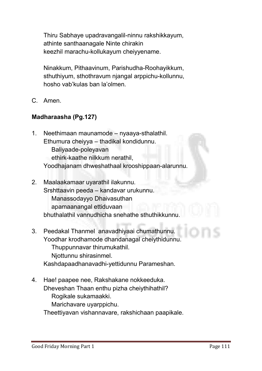**Thiru Sabhaye upadravangalil-ninnu rakshikkayum, athinte santhaanagale Ninte chirakin keezhil marachu-kollukayum cheiyyename.** 

**Ninakkum, Pithaavinum, Parishudha-Roohayikkum, sthuthiyum, sthothravum njangal arppichu-kollunnu, hosho vab'kulas ban la'olmen.**

**C. Amen.**

#### Madharaasha (Pg.127)

- **1. Neethimaan maunamode – nyaaya-sthalathil. Ethumura cheiyya – thadikal kondidunnu. Baliyaade-poleyavan ethirk-kaathe nilkkum nerathil, Yoodhajanam dhweshathaal krooshippaan-alarunnu.**
- **2. Maalaakamaar uyarathil ilakunnu. Srshttaavin peeda – kandavar urukunnu. Manassodayyo Dhaivasuthan apamaanangal ettiduvaan bhuthalathil vannudhicha snehathe sthuthikkunnu.**
- **3. Peedakal Thanmel anavadhiyaai chumathunnu. Yoodhar krodhamode dhandanagal cheiythidunnu. Thuppunnavar thirumukathil. Njottunnu shirasinmel. Kashdapaadhanavadhi-yettidunnu Parameshan.**
- **4. Hae! paapee nee, Rakshakane nokkeeduka. Dheveshan Thaan enthu pizha cheiythihathil? Rogikale sukamaakki. Marichavare uyarppichu.**

**Theettiyavan vishannavare, rakshichaan paapikale.**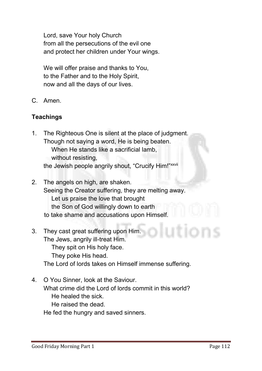**Lord, save Your holy Church from all the persecutions of the evil one and protect her children under Your wings.** 

**We will offer praise and thanks to You, to the Father and to the Holy Spirit, now and all the days of our lives.** 

**C. Amen.** 

#### **Teachings**

- **1. The Righteous One is silent at the place of judgment. Though not saying a word, He is being beaten. When He stands like a sacrificial lamb, without resisting, the Jewish people angrily shout, "Crucify Him!"xxvii**
- **2. The angels on high, are shaken. Seeing the Creator suffering, they are melting away. Let us praise the love that brought the Son of God willingly down to earth to take shame and accusations upon Himself.**
- **3. They cast great suffering upon Him. The Jews, angrily ill-treat Him. They spit on His holy face. They poke His head. The Lord of lords takes on Himself immense suffering.**
- **4. O You Sinner, look at the Saviour. What crime did the Lord of lords commit in this world? He healed the sick. He raised the dead.**

**He fed the hungry and saved sinners.**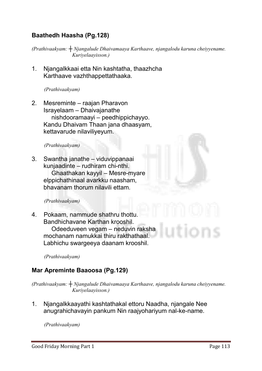#### Baathedh Haasha (Pg.128)

*(Prathivaakyam: ┼ Njangalude Dhaivamaaya Karthaave, njangalodu karuna cheiyyename. Kuriyelaayisson.)* 

**1. Njangalkkaai etta Nin kashtatha, thaazhcha Karthaave vazhthappettathaaka.**

*(Prathivaakyam)* 

**2. Mesreminte – raajan Pharavon Israyelaam – Dhaivajanathe nishdooramaayi – peedhippichayyo. Kandu Dhaivam Thaan jana dhaasyam, kettavarude nilaviliyeyum.**

#### *(Prathivaakyam)*

**3. Swantha janathe – viduvippanaai kunjaadinte – rudhiram chi-nthi. Ghaathakan kayyil – Mesre-myare elppichathinaal avarkku naasham, bhavanam thorum nilavili ettam.**

#### *(Prathivaakyam)*

**4. Pokaam, nammude shathru thottu. Bandhichavane Karthan krooshil. Odeeduveen vegam – neduvin raksha mochanam namukkai thiru rakthathaal. Labhichu swargeeya daanam krooshil.**

*(Prathivaakyam)* 

#### Mar Apreminte Baaoosa (Pg.129)

*(Prathivaakyam: ┼ Njangalude Dhaivamaaya Karthaave, njangalodu karuna cheiyyename. Kuriyelaayisson.)* 

**1. Njangalkkaayathi kashtathakal ettoru Naadha, njangale Nee anugrahichavayin pankum Nin raajyohariyum nal-ke-name.**

*(Prathivaakyam)*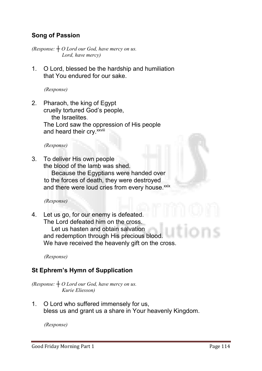#### Song of Passion

*(Response: ┼ O Lord our God, have mercy on us. Lord, have mercy)*

**1. O Lord, blessed be the hardship and humiliation that You endured for our sake.** 

*(Response)*

**2. Pharaoh, the king of Egypt cruelly tortured God's people, the Israelites. The Lord saw the oppression of His people and heard their cry.xxviii** 

*(Response)*

**3. To deliver His own people the blood of the lamb was shed. Because the Egyptians were handed over** 

**to the forces of death, they were destroyed** and there were loud cries from every house.xxix

 *(Response)*

**4. Let us go, for our enemy is defeated. The Lord defeated him on the cross. Let us hasten and obtain salvation**

**and redemption through His precious blood. We have received the heavenly gift on the cross.**

*(Response)*

#### St Ephrem's Hymn of Supplication

*(Response: ┼ O Lord our God, have mercy on us. Kurie Eliesson)*

**1. O Lord who suffered immensely for us, bless us and grant us a share in Your heavenly Kingdom.**

*(Response)*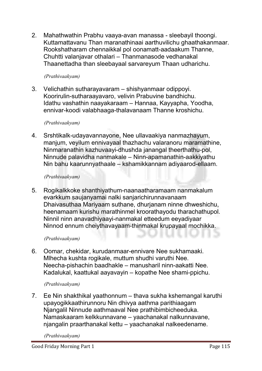**2. Mahathwathin Prabhu vaaya-avan manassa - sleebayil thoongi. Kuttamattavanu Than maranathinaai aarthuvilichu ghaathakanmaar. Rookshatharam chennaikkal pol oonamatt-aadaakum Thanne, Chuhtti valanjavar othalari – Thanmanasode vedhanakal Thaanettadha than sleebayaal sarvareyum Thaan udharichu.**

#### *(Prathivaakyam)*

**3. Velichathin sutharayavaram – shishyanmaar odippoyi. Koorirulin-sutharaayavaro, velivin Prabuvine bandhichu. Idathu vashathin naayakaraam – Hannaa, Kayyapha, Yoodha, ennivar-koodi valabhaaga-thalavanaam Thanne kroshichu.**

#### *(Prathivaakyam)*

**4. Srshtikalk-udayavannayone, Nee ullavaakiya nanmazhayum, manjum, veyilum ennivayaal thazhachu valaranoru maramathine, Ninmaranathin kazhuvaayi-dhushda janangal theerthathu-pol, Ninnude palavidha nanmakale – Ninn-apamanathin-aakkiyathu Nin bahu kaarunnyathaale – kshamikkannam adiyaarod-ellaam.**

#### *(Prathivaakyam)*

**5. Rogikalkkoke shanthiyathum-naanaatharamaam nanmakalum evarkkum saujanyamai nalki sanjarichirunnavanaam Dhaivasuthaa Mariyaam suthane, dhurjanam ninne dhweshichu, heenamaam kurishu marathinmel kroorathayodu tharachathupol. Ninnil ninn anavadhiyaayi-nanmakal etteedum eeyadiyaar Ninnod ennum cheiythavayaam-thinmakal krupayaal mochikka.** 

#### *(Prathivaakyam)*

**6. Oomar, chekidar, kurudanmaar-ennivare Nee sukhamaaki. Mlhecha kushta rogikale, muttum shudhi varuthi Nee. Neecha-pishachin baadhakle – manusharil ninn-aakatti Nee. Kadalukal, kaattukal aayavayin – kopathe Nee shami-ppichu.**

#### *(Prathivaakyam)*

**7. Ee Nin shakthikal yaathonnum – thava sukha kshemangal karuthi upayogikkaathirunnoru Nin dhivya aathma parithiaagam Njangalil Ninnude aathmaaval Nee prathibimbicheeduka. Namaskaaram kelkkunnavane – yaachanakal nalkunnavane, njangalin praarthanakal kettu – yaachanakal nalkeedename.**

*(Prathivaakyam)*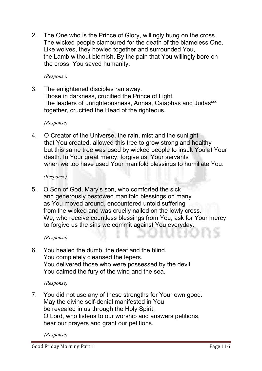**2. The One who is the Prince of Glory, willingly hung on the cross. The wicked people clamoured for the death of the blameless One. Like wolves, they howled together and surrounded You, the Lamb without blemish. By the pain that You willingly bore on the cross, You saved humanity.**

*(Response)*

**3. The enlightened disciples ran away. Those in darkness, crucified the Prince of Light. The leaders of unrighteousness, Annas, Caiaphas and Judasxxx together, crucified the Head of the righteous.**

*(Response)*

**4. O Creator of the Universe, the rain, mist and the sunlight that You created, allowed this tree to grow strong and healthy but this same tree was used by wicked people to insult You at Your death. In Your great mercy, forgive us, Your servants when we too have used Your manifold blessings to humiliate You.**

*(Response)*

**5. O Son of God, Mary's son, who comforted the sick and generously bestowed manifold blessings on many as You moved around, encountered untold suffering from the wicked and was cruelly nailed on the lowly cross. We, who receive countless blessings from You, ask for Your mercy to forgive us the sins we commit against You everyday.**

*(Response)*

**6. You healed the dumb, the deaf and the blind. You completely cleansed the lepers. You delivered those who were possessed by the devil. You calmed the fury of the wind and the sea.**

*(Response)*

**7. You did not use any of these strengths for Your own good. May the divine self-denial manifested in You be revealed in us through the Holy Spirit. O Lord, who listens to our worship and answers petitions, hear our prayers and grant our petitions.**

*(Response)*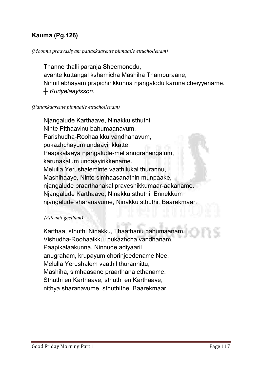#### Kauma (Pg.126)

#### *(Moonnu praavashyam pattakkaarente pinnaalle ettuchollenam)*

**Thanne thalli paranja Sheemonodu, avante kuttangal kshamicha Mashiha Thamburaane, Ninnil abhayam prapichirikkunna njangalodu karuna cheiyyename.** *┼ Kuriyelaayisson.*

#### *(Pattakkaarente pinnaalle ettuchollenam)*

**Njangalude Karthaave, Ninakku sthuthi, Ninte Pithaavinu bahumaanavum, Parishudha-Roohaaikku vandhanavum, pukazhchayum undaayirikkatte. Paapikalaaya njangalude-mel anugrahangalum, karunakalum undaayirikkename. Melulla Yerushaleminte vaathilukal thurannu, Mashihaaye, Ninte simhaasanathin munpaake, njangalude praarthanakal praveshikkumaar-aakaname. Njangalude Karthaave, Ninakku sthuthi. Ennekkum njangalude sharanavume, Ninakku sthuthi. Baarekmaar.** 

#### *(Allenkil geetham)*

**Karthaa, sthuthi Ninakku, Thaathanu bahumaanam, Vishudha-Roohaaikku, pukazhcha vandhanam. Paapikalaakunna, Ninnude adiyaaril anugraham, krupayum chorinjeedename Nee. Melulla Yerushalem vaathil thurannittu, Mashiha, simhaasane praarthana ethaname. Sthuthi en Karthaave, sthuthi en Karthaave, nithya sharanavume, sthuthithe. Baarekmaar.**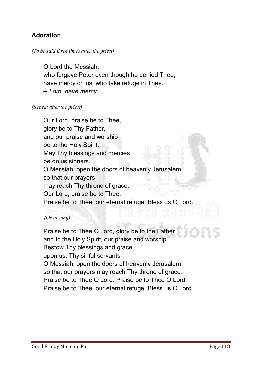#### Adoration

#### *(To be said three times after the priest)*

**O Lord the Messiah, who forgave Peter even though he denied Thee, have mercy on us, who take refuge in Thee.** *┼ Lord, have mercy.*

#### *(Repeat after the priest)*

**Our Lord, praise be to Thee, glory be to Thy Father, and our praise and worship be to the Holy Spirit. May Thy blessings and mercies be on us sinners. O Messiah, open the doors of heavenly Jerusalem so that our prayers may reach Thy throne of grace. Our Lord, praise be to Thee. Praise be to Thee, our eternal refuge. Bless us O Lord.** 

#### *(Or in song)*

**Praise be to Thee O Lord, glory be to the Father and to the Holy Spirit, our praise and worship. Bestow Thy blessings and grace upon us, Thy sinful servants. O Messiah, open the doors of heavenly Jerusalem so that our prayers may reach Thy throne of grace. Praise be to Thee O Lord. Praise be to Thee O Lord. Praise be to Thee, our eternal refuge. Bless us O Lord.**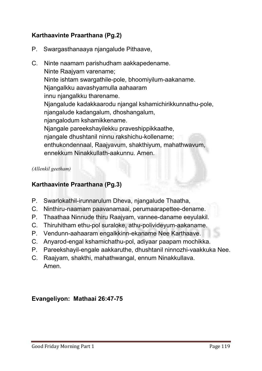#### Karthaavinte Praarthana (Pg.2)

- **P. Swargasthanaaya njangalude Pithaave,**
- **C. Ninte naamam parishudham aakkapedename. Ninte Raajyam varename; Ninte ishtam swargathile-pole, bhoomiyilum-aakaname. Njangalkku aavashyamulla aahaaram innu njangalkku tharename. Njangalude kadakkaarodu njangal kshamichirikkunnathu-pole, njangalude kadangalum, dhoshangalum, njangalodum kshamikkename. Njangale pareekshayilekku praveshippikkaathe, njangale dhushtanil ninnu rakshichu-kollename; enthukondennaal, Raajyavum, shakthiyum, mahathwavum, ennekkum Ninakkullath-aakunnu. Amen.**

*(Allenkil geetham)*

#### Karthaavinte Praarthana (Pg.3)

- **P. Swarlokathil-irunnarulum Dheva, njangalude Thaatha,**
- **C. Ninthiru-naamam paavanamaai, perumaarapettee-dename.**
- **P. Thaathaa Ninnude thiru Raajyam, vannee-daname eeyulakil.**
- **C. Thiruhitham ethu-pol suraloke, athu-polivideyum-aakaname.**
- **P. Vendunn-aahaaram engalkkinn-ekaname Nee Karthaave.**
- **C. Anyarod-engal kshamichathu-pol, adiyaar paapam mochikka.**
- **P. Pareekshayil-engale aakkaruthe, dhushtanil ninnozhi-vaakkuka Nee.**
- **C. Raajyam, shakthi, mahathwangal, ennum Ninakkullava. Amen.**

Evangeliyon: Mathaai 26:47-75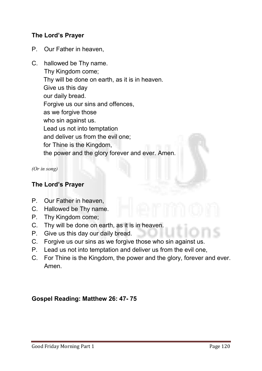#### The Lord's Prayer

- **P. Our Father in heaven,**
- **C. hallowed be Thy name. Thy Kingdom come; Thy will be done on earth, as it is in heaven. Give us this day our daily bread. Forgive us our sins and offences, as we forgive those who sin against us. Lead us not into temptation and deliver us from the evil one; for Thine is the Kingdom, the power and the glory forever and ever. Amen.**

*(Or in song)*

#### The Lord's Prayer

- **P. Our Father in heaven,**
- **C. Hallowed be Thy name.**
- **P. Thy Kingdom come;**
- **C. Thy will be done on earth, as it is in heaven.**
- **P. Give us this day our daily bread.**
- **C. Forgive us our sins as we forgive those who sin against us.**
- **P. Lead us not into temptation and deliver us from the evil one,**
- **C. For Thine is the Kingdom, the power and the glory, forever and ever. Amen.**

#### Gospel Reading: Matthew 26: 47- 75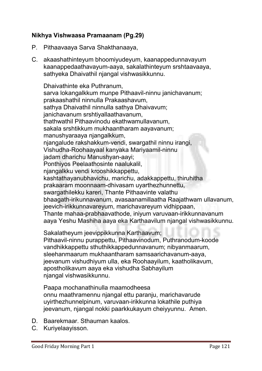#### Nikhya Vishwaasa Pramaanam (Pg.29)

- **P. Pithaavaaya Sarva Shakthanaaya,**
- **C. akaashathinteyum bhoomiyudeyum, kaanappedunnavayum kaanappedaathavayum-aaya, sakalathinteyum srshtaavaaya, sathyeka Dhaivathil njangal vishwasikkunnu.**

**Dhaivathinte eka Puthranum, sarva lokangalkkum munpe Pithaavil-ninnu janichavanum; prakaashathil ninnulla Prakaashavum, sathya Dhaivathil ninnulla sathya Dhaivavum; janichavanum srshtiyallaathavanum, thathwathil Pithaavinodu ekathwamullavanum, sakala srshtikkum mukhaantharam aayavanum; manushyaraaya njangalkkum, njangalude rakshakkum-vendi, swargathil ninnu irangi, Vishudha-Roohaayaal kanyaka Mariyaamil-ninnu jadam dharichu Manushyan-aayi; Ponthiyos Peelaathosinte naalukalil, njangalkku vendi krooshikkappettu, kashtathayanubhavichu, marichu, adakkappettu, thiruhitha prakaaram moonnaam-dhivasam uyarthezhunnettu, swargathilekku kareri, Thante Pithaavinte valathu bhaagath-irikunnavanum, avasaanamillaatha Raajathwam ullavanum, jeevich-irikkunnavareyum, marichavareyum vidhippaan, Thante mahaa-prabhaavathode, iniyum varuvaan-irikkunnavanum aaya Yeshu Mashiha aaya eka Karthaavilum njangal vishwasikkunnu.**

**Sakalatheyum jeevippikkunna Karthaavum;**

**Pithaavil-ninnu purappettu, Pithaavinodum, Puthranodum-koode vandhikkappettu sthuthikkappedunnavanum; nibyanmaarum, sleehanmaarum mukhaantharam samsaarichavanum-aaya, jeevanum vishudhiyum ulla, eka Roohaayilum, kaatholikavum, apostholikavum aaya eka vishudha Sabhayilum njangal vishwasikkunnu.**

**Paapa mochanathinulla maamodheesa onnu maathramennu njangal ettu paranju, marichavarude uyirthezhunnelpinum, varuvaan-irikkunna lokathile puthiya jeevanum, njangal nokki paarkkukayum cheiyyunnu. Amen.**

- **D. Baarekmaar. Sthauman kaalos.**
- **C. Kuriyelaayisson.**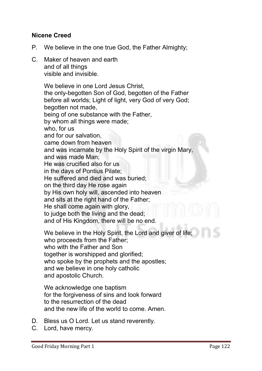#### Nicene Creed

- **P. We believe in the one true God, the Father Almighty;**
- **C. Maker of heaven and earth and of all things visible and invisible.**

**We believe in one Lord Jesus Christ, the only-begotten Son of God, begotten of the Father before all worlds; Light of light, very God of very God; begotten not made, being of one substance with the Father, by whom all things were made; who, for us and for our salvation, came down from heaven and was incarnate by the Holy Spirit of the virgin Mary, and was made Man; He was crucified also for us in the days of Pontius Pilate; He suffered and died and was buried; on the third day He rose again by His own holy will, ascended into heaven and sits at the right hand of the Father; He shall come again with glory, to judge both the living and the dead; and of His Kingdom, there will be no end.** 

**We believe in the Holy Spirit, the Lord and giver of life; who proceeds from the Father; who with the Father and Son together is worshipped and glorified; who spoke by the prophets and the apostles; and we believe in one holy catholic and apostolic Church.**

**We acknowledge one baptism for the forgiveness of sins and look forward to the resurrection of the dead and the new life of the world to come. Amen.** 

- **D. Bless us O Lord. Let us stand reverently.**
- **C. Lord, have mercy.**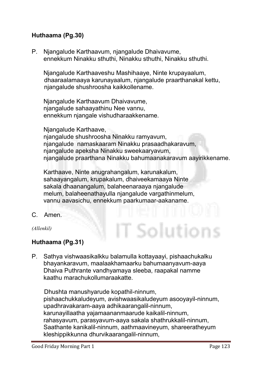#### Huthaama (Pg.30)

**P. Njangalude Karthaavum, njangalude Dhaivavume, ennekkum Ninakku sthuthi, Ninakku sthuthi, Ninakku sthuthi.**

**Njangalude Karthaaveshu Mashihaaye, Ninte krupayaalum, dhaaraalamaaya karunayaalum, njangalude praarthanakal kettu, njangalude shushroosha kaikkollename.**

**Njangalude Karthaavum Dhaivavume, njangalude sahaayathinu Nee vannu, ennekkum njangale vishudharaakkename.** 

**Njangalude Karthaave,** 

**njangalude shushroosha Ninakku ramyavum, njangalude namaskaaram Ninakku prasaadhakaravum, njangalude apeksha Ninakku sweekaaryavum, njangalude praarthana Ninakku bahumaanakaravum aayirikkename.** 

T Solutior

**Karthaave, Ninte anugrahangalum, karunakalum, sahaayangalum, krupakalum, dhaiveekamaaya Ninte sakala dhaanangalum, balaheenaraaya njangalude melum, balaheenathayulla njangalude vargathinmelum, vannu aavasichu, ennekkum paarkumaar-aakaname.**

**C. Amen.**

*(Allenkil)*

#### Huthaama (Pg.31)

**P. Sathya vishwaasikalkku balamulla kottayaayi, pishaachukalku bhayankaravum, maalaakhamaarku bahumaanyavum-aaya Dhaiva Puthrante vandhyamaya sleeba, raapakal namme kaathu marachukollumaraakatte.** 

**Dhushta manushyarude kopathil-ninnum, pishaachukkaludeyum, avishwaasikaludeyum asooyayil-ninnum, upadhravakaram-aaya adhikaarangalil-ninnum, karunayillaatha yajamaananmaarude kaikalil-ninnum, rahasyavum, parasyavum-aaya sakala shathrukkalil-ninnum, Saathante kanikalil-ninnum, aathmaavineyum, shareeratheyum kleshippikkunna dhurvikaarangalil-ninnum,**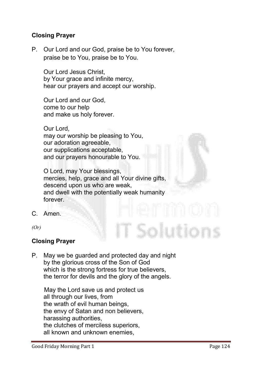#### Closing Prayer

**P. Our Lord and our God, praise be to You forever, praise be to You, praise be to You.**

**Our Lord Jesus Christ, by Your grace and infinite mercy, hear our prayers and accept our worship.** 

**Our Lord and our God, come to our help and make us holy forever.** 

**Our Lord, may our worship be pleasing to You, our adoration agreeable, our supplications acceptable, and our prayers honourable to You.** 

**O Lord, may Your blessings, mercies, help, grace and all Your divine gifts, descend upon us who are weak, and dwell with the potentially weak humanity forever.**

**C. Amen.**

*(Or)*

#### Closing Prayer

**P. May we be guarded and protected day and night by the glorious cross of the Son of God which is the strong fortress for true believers, the terror for devils and the glory of the angels.** 

**May the Lord save us and protect us all through our lives, from the wrath of evil human beings, the envy of Satan and non believers, harassing authorities, the clutches of merciless superiors, all known and unknown enemies,** 

Solutions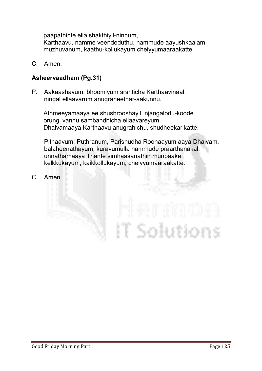**paapathinte ella shakthiyil-ninnum,** 

**Karthaavu, namme veendeduthu, nammude aayushkaalam muzhuvanum, kaathu-kollukayum cheiyyumaaraakatte.**

**C. Amen.**

#### Asheervaadham (Pg.31)

**P. Aakaashavum, bhoomiyum srshticha Karthaavinaal, ningal ellaavarum anugraheethar-aakunnu.**

**Athmeeyamaaya ee shushrooshayil, njangalodu-koode orungi vannu sambandhicha ellaavareyum, Dhaivamaaya Karthaavu anugrahichu, shudheekarikatte.**

**Pithaavum, Puthranum, Parishudha Roohaayum aaya Dhaivam, balaheenathayum, kuravumulla nammude praarthanakal, unnathamaaya Thante simhaasanathin munpaake, kelkkukayum, kaikkollukayum, cheiyyumaaraakatte.**

**C. Amen.**

# T Solutions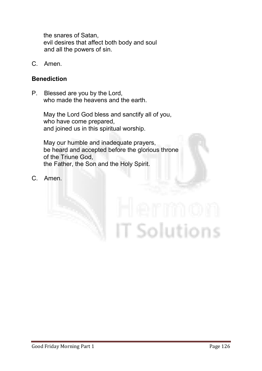**the snares of Satan, evil desires that affect both body and soul and all the powers of sin.**

**C. Amen.**

#### Benediction

**P. Blessed are you by the Lord, who made the heavens and the earth.** 

> **May the Lord God bless and sanctify all of you, who have come prepared, and joined us in this spiritual worship.**

**May our humble and inadequate prayers, be heard and accepted before the glorious throne of the Triune God, the Father, the Son and the Holy Spirit.**

**C. Amen.**

# T Solutions